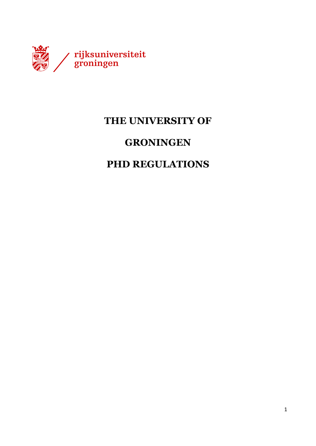

## **THE UNIVERSITY OF**

## **GRONINGEN**

## **PHD REGULATIONS**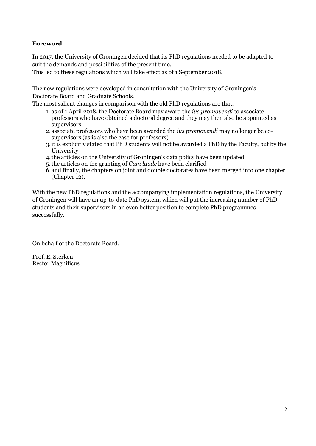#### **Foreword**

In 2017, the University of Groningen decided that its PhD regulations needed to be adapted to suit the demands and possibilities of the present time.

This led to these regulations which will take effect as of 1 September 2018.

The new regulations were developed in consultation with the University of Groningen's Doctorate Board and Graduate Schools.

The most salient changes in comparison with the old PhD regulations are that:

- 1. as of 1 April 2018, the Doctorate Board may award the *ius promovendi* to associate professors who have obtained a doctoral degree and they may then also be appointed as supervisors
- 2.associate professors who have been awarded the *ius promovendi* may no longer be cosupervisors (as is also the case for professors)
- 3.it is explicitly stated that PhD students will not be awarded a PhD by the Faculty, but by the University
- 4.the articles on the University of Groningen's data policy have been updated
- 5.the articles on the granting of *Cum laude* have been clarified
- 6.and finally, the chapters on joint and double doctorates have been merged into one chapter (Chapter 12).

With the new PhD regulations and the accompanying implementation regulations, the University of Groningen will have an up-to-date PhD system, which will put the increasing number of PhD students and their supervisors in an even better position to complete PhD programmes successfully.

On behalf of the Doctorate Board,

Prof. E. Sterken Rector Magnificus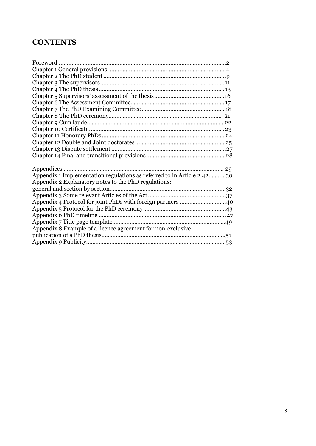## **CONTENTS**

| Appendix 1 Implementation regulations as referred to in Article 2.42 30 |  |
|-------------------------------------------------------------------------|--|
| Appendix 2 Explanatory notes to the PhD regulations:                    |  |
|                                                                         |  |
|                                                                         |  |
| Appendix 4 Protocol for joint PhDs with foreign partners 40             |  |
|                                                                         |  |
|                                                                         |  |
|                                                                         |  |
| Appendix 8 Example of a licence agreement for non-exclusive             |  |
|                                                                         |  |
|                                                                         |  |
|                                                                         |  |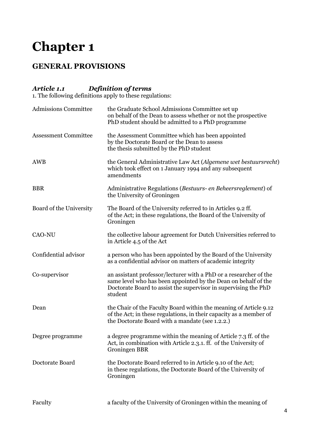## **GENERAL PROVISIONS**

## *Article 1.1 Definition of terms*

1. The following definitions apply to these regulations:

| <b>Admissions Committee</b> | the Graduate School Admissions Committee set up<br>on behalf of the Dean to assess whether or not the prospective<br>PhD student should be admitted to a PhD programme                                            |
|-----------------------------|-------------------------------------------------------------------------------------------------------------------------------------------------------------------------------------------------------------------|
| <b>Assessment Committee</b> | the Assessment Committee which has been appointed<br>by the Doctorate Board or the Dean to assess<br>the thesis submitted by the PhD student                                                                      |
| <b>AWB</b>                  | the General Administrative Law Act (Algemene wet bestuursrecht)<br>which took effect on 1 January 1994 and any subsequent<br>amendments                                                                           |
| <b>BBR</b>                  | Administrative Regulations (Bestuurs- en Beheersreglement) of<br>the University of Groningen                                                                                                                      |
| Board of the University     | The Board of the University referred to in Articles 9.2 ff.<br>of the Act; in these regulations, the Board of the University of<br>Groningen                                                                      |
| <b>CAO-NU</b>               | the collective labour agreement for Dutch Universities referred to<br>in Article 4.5 of the Act                                                                                                                   |
| Confidential advisor        | a person who has been appointed by the Board of the University<br>as a confidential advisor on matters of academic integrity                                                                                      |
| Co-supervisor               | an assistant professor/lecturer with a PhD or a researcher of the<br>same level who has been appointed by the Dean on behalf of the<br>Doctorate Board to assist the supervisor in supervising the PhD<br>student |
| Dean                        | the Chair of the Faculty Board within the meaning of Article 9.12<br>of the Act; in these regulations, in their capacity as a member of<br>the Doctorate Board with a mandate (see 1.2.2.)                        |
| Degree programme            | a degree programme within the meaning of Article 7.3 ff. of the<br>Act, in combination with Article 2.3.1. ff. of the University of<br>Groningen BBR                                                              |
| Doctorate Board             | the Doctorate Board referred to in Article 9.10 of the Act;<br>in these regulations, the Doctorate Board of the University of<br>Groningen                                                                        |
| Faculty                     | a faculty of the University of Groningen within the meaning of                                                                                                                                                    |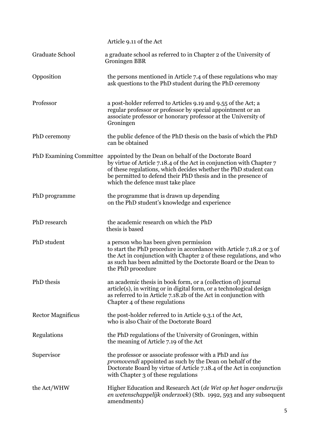|                                | Article 9.11 of the Act                                                                                                                                                                                                                                                                                  |
|--------------------------------|----------------------------------------------------------------------------------------------------------------------------------------------------------------------------------------------------------------------------------------------------------------------------------------------------------|
| Graduate School                | a graduate school as referred to in Chapter 2 of the University of<br><b>Groningen BBR</b>                                                                                                                                                                                                               |
| Opposition                     | the persons mentioned in Article 7.4 of these regulations who may<br>ask questions to the PhD student during the PhD ceremony                                                                                                                                                                            |
| Professor                      | a post-holder referred to Articles 9.19 and 9.55 of the Act; a<br>regular professor or professor by special appointment or an<br>associate professor or honorary professor at the University of<br>Groningen                                                                                             |
| PhD ceremony                   | the public defence of the PhD thesis on the basis of which the PhD<br>can be obtained                                                                                                                                                                                                                    |
| <b>PhD Examining Committee</b> | appointed by the Dean on behalf of the Doctorate Board<br>by virtue of Article 7.18.4 of the Act in conjunction with Chapter 7<br>of these regulations, which decides whether the PhD student can<br>be permitted to defend their PhD thesis and in the presence of<br>which the defence must take place |
| PhD programme                  | the programme that is drawn up depending<br>on the PhD student's knowledge and experience                                                                                                                                                                                                                |
| PhD research                   | the academic research on which the PhD<br>thesis is based                                                                                                                                                                                                                                                |
| PhD student                    | a person who has been given permission<br>to start the PhD procedure in accordance with Article 7.18.2 or 3 of<br>the Act in conjunction with Chapter 2 of these regulations, and who<br>as such has been admitted by the Doctorate Board or the Dean to<br>the PhD procedure                            |
| PhD thesis                     | an academic thesis in book form, or a (collection of) journal<br>$article(s)$ , in writing or in digital form, or a technological design<br>as referred to in Article 7.18.2b of the Act in conjunction with<br>Chapter 4 of these regulations                                                           |
| <b>Rector Magnificus</b>       | the post-holder referred to in Article 9.3.1 of the Act,<br>who is also Chair of the Doctorate Board                                                                                                                                                                                                     |
| Regulations                    | the PhD regulations of the University of Groningen, within<br>the meaning of Article 7.19 of the Act                                                                                                                                                                                                     |
| Supervisor                     | the professor or associate professor with a PhD and ius<br>promovendi appointed as such by the Dean on behalf of the<br>Doctorate Board by virtue of Article 7.18.4 of the Act in conjunction<br>with Chapter 3 of these regulations                                                                     |
| the Act/WHW                    | Higher Education and Research Act (de Wet op het hoger onderwijs<br>en wetenschappelijk onderzoek) (Stb. 1992, 593 and any subsequent<br>amendments)                                                                                                                                                     |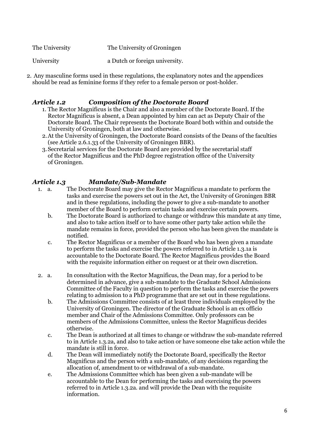| The University | The University of Groningen    |
|----------------|--------------------------------|
| University     | a Dutch or foreign university. |

2. Any masculine forms used in these regulations, the explanatory notes and the appendices should be read as feminine forms if they refer to a female person or post-holder.

#### *Article 1.2 Composition of the Doctorate Board*

- 1. The Rector Magnificus is the Chair and also a member of the Doctorate Board. If the Rector Magnificus is absent, a Dean appointed by him can act as Deputy Chair of the Doctorate Board. The Chair represents the Doctorate Board both within and outside the University of Groningen, both at law and otherwise.
- 2.At the University of Groningen, the Doctorate Board consists of the Deans of the faculties (see Article 2.6.1.33 of the University of Groningen BBR).
- 3.Secretarial services for the Doctorate Board are provided by the secretarial staff of the Rector Magnificus and the PhD degree registration office of the University of Groningen.

### *Article 1.3 Mandate/Sub-Mandate*

- 1. a. The Doctorate Board may give the Rector Magnificus a mandate to perform the tasks and exercise the powers set out in the Act, the University of Groningen BBR and in these regulations, including the power to give a sub-mandate to another member of the Board to perform certain tasks and exercise certain powers.
	- b. The Doctorate Board is authorized to change or withdraw this mandate at any time, and also to take action itself or to have some other party take action while the mandate remains in force, provided the person who has been given the mandate is notified.
	- c. The Rector Magnificus or a member of the Board who has been given a mandate to perform the tasks and exercise the powers referred to in Article 1.3.1a is accountable to the Doctorate Board. The Rector Magnificus provides the Board with the requisite information either on request or at their own discretion.
- 2. a. In consultation with the Rector Magnificus, the Dean may, for a period to be determined in advance, give a sub-mandate to the Graduate School Admissions Committee of the Faculty in question to perform the tasks and exercise the powers relating to admission to a PhD programme that are set out in these regulations.
	- b. The Admissions Committee consists of at least three individuals employed by the University of Groningen. The director of the Graduate School is an ex officio member and Chair of the Admissions Committee. Only professors can be members of the Admissions Committee, unless the Rector Magnificus decides otherwise.
	- c. The Dean is authorized at all times to change or withdraw the sub-mandate referred to in Article 1.3.2a, and also to take action or have someone else take action while the mandate is still in force.
	- d. The Dean will immediately notify the Doctorate Board, specifically the Rector Magnificus and the person with a sub-mandate, of any decisions regarding the allocation of, amendment to or withdrawal of a sub-mandate.
	- e. The Admissions Committee which has been given a sub-mandate will be accountable to the Dean for performing the tasks and exercising the powers referred to in Article 1.3.2a. and will provide the Dean with the requisite information.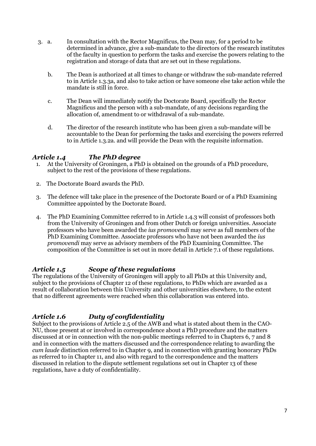- 3. a. In consultation with the Rector Magnificus, the Dean may, for a period to be determined in advance, give a sub-mandate to the directors of the research institutes of the faculty in question to perform the tasks and exercise the powers relating to the registration and storage of data that are set out in these regulations.
	- b. The Dean is authorized at all times to change or withdraw the sub-mandate referred to in Article 1.3.3a, and also to take action or have someone else take action while the mandate is still in force.
	- c. The Dean will immediately notify the Doctorate Board, specifically the Rector Magnificus and the person with a sub-mandate, of any decisions regarding the allocation of, amendment to or withdrawal of a sub-mandate.
	- d. The director of the research institute who has been given a sub-mandate will be accountable to the Dean for performing the tasks and exercising the powers referred to in Article 1.3.2a. and will provide the Dean with the requisite information.

#### *Article 1.4 The PhD degree*

- 1. At the University of Groningen, a PhD is obtained on the grounds of a PhD procedure, subject to the rest of the provisions of these regulations.
- 2. The Doctorate Board awards the PhD.
- 3. The defence will take place in the presence of the Doctorate Board or of a PhD Examining Committee appointed by the Doctorate Board.
- 4. The PhD Examining Committee referred to in Article 1.4.3 will consist of professors both from the University of Groningen and from other Dutch or foreign universities. Associate professors who have been awarded the *ius promovendi* may serve as full members of the PhD Examining Committee. Associate professors who have not been awarded the *ius promovendi* may serve as advisory members of the PhD Examining Committee. The composition of the Committee is set out in more detail in Article 7.1 of these regulations.

#### *Article 1.5 Scope of these regulations*

The regulations of the University of Groningen will apply to all PhDs at this University and, subject to the provisions of Chapter 12 of these regulations, to PhDs which are awarded as a result of collaboration between this University and other universities elsewhere, to the extent that no different agreements were reached when this collaboration was entered into.

#### *Article 1.6 Duty of confidentiality*

Subject to the provisions of Article 2.5 of the AWB and what is stated about them in the CAO-NU, those present at or involved in correspondence about a PhD procedure and the matters discussed at or in connection with the non-public meetings referred to in Chapters 6, 7 and 8 and in connection with the matters discussed and the correspondence relating to awarding the *cum laude* distinction referred to in Chapter 9, and in connection with granting honorary PhDs as referred to in Chapter 11, and also with regard to the correspondence and the matters discussed in relation to the dispute settlement regulations set out in Chapter 13 of these regulations, have a duty of confidentiality.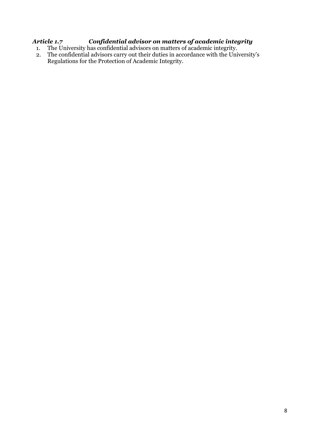### *Article 1.7 Confidential advisor on matters of academic integrity*

- 1. The University has confidential advisors on matters of academic integrity.
- 2. The confidential advisors carry out their duties in accordance with the University's Regulations for the Protection of Academic Integrity.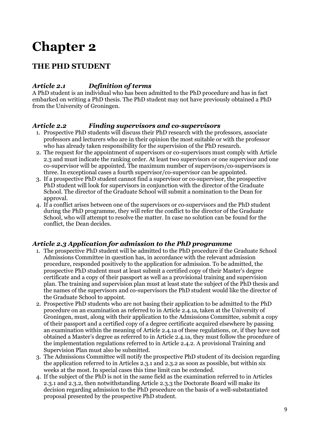## **THE PHD STUDENT**

### *Article 2.1 Definition of terms*

A PhD student is an individual who has been admitted to the PhD procedure and has in fact embarked on writing a PhD thesis. The PhD student may not have previously obtained a PhD from the University of Groningen.

#### *Article 2.2 Finding supervisors and co-supervisors*

- 1. Prospective PhD students will discuss their PhD research with the professors, associate professors and lecturers who are in their opinion the most suitable or with the professor who has already taken responsibility for the supervision of the PhD research.
- 2. The request for the appointment of supervisors or co-supervisors must comply with Article 2.3 and must indicate the ranking order. At least two supervisors or one supervisor and one co-supervisor will be appointed. The maximum number of supervisors/co-supervisors is three. In exceptional cases a fourth supervisor/co-supervisor can be appointed.
- 3. If a prospective PhD student cannot find a supervisor or co-supervisor, the prospective PhD student will look for supervisors in conjunction with the director of the Graduate School. The director of the Graduate School will submit a nomination to the Dean for approval.
- 4. If a conflict arises between one of the supervisors or co-supervisors and the PhD student during the PhD programme, they will refer the conflict to the director of the Graduate School, who will attempt to resolve the matter. In case no solution can be found for the conflict, the Dean decides.

#### *Article 2.3 Application for admission to the PhD programme*

- 1. The prospective PhD student will be admitted to the PhD procedure if the Graduate School Admissions Committee in question has, in accordance with the relevant admission procedure, responded positively to the application for admission. To be admitted, the prospective PhD student must at least submit a certified copy of their Master's degree certificate and a copy of their passport as well as a provisional training and supervision plan. The training and supervision plan must at least state the subject of the PhD thesis and the names of the supervisors and co-supervisors the PhD student would like the director of the Graduate School to appoint.
- 2. Prospective PhD students who are not basing their application to be admitted to the PhD procedure on an examination as referred to in Article 2.4.1a, taken at the University of Groningen, must, along with their application to the Admissions Committee, submit a copy of their passport and a certified copy of a degree certificate acquired elsewhere by passing an examination within the meaning of Article 2.4.1a of these regulations, or, if they have not obtained a Master's degree as referred to in Article 2.4.1a, they must follow the procedure of the implementation regulations referred to in Article 2.4.2. A provisional Training and Supervision Plan must also be submitted.
- 3. The Admissions Committee will notify the prospective PhD student of its decision regarding the application referred to in Articles 2.3.1 and 2.3.2 as soon as possible, but within six weeks at the most. In special cases this time limit can be extended.
- 4. If the subject of the PhD is not in the same field as the examination referred to in Articles 2.3.1 and 2.3.2, then notwithstanding Article 2.3.3 the Doctorate Board will make its decision regarding admission to the PhD procedure on the basis of a well-substantiated proposal presented by the prospective PhD student.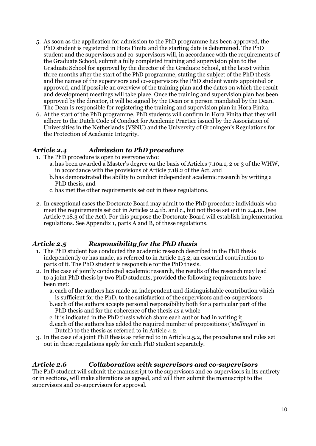- 5. As soon as the application for admission to the PhD programme has been approved, the PhD student is registered in Hora Finita and the starting date is determined. The PhD student and the supervisors and co-supervisors will, in accordance with the requirements of the Graduate School, submit a fully completed training and supervision plan to the Graduate School for approval by the director of the Graduate School, at the latest within three months after the start of the PhD programme, stating the subject of the PhD thesis and the names of the supervisors and co-supervisors the PhD student wants appointed or approved, and if possible an overview of the training plan and the dates on which the result and development meetings will take place. Once the training and supervision plan has been approved by the director, it will be signed by the Dean or a person mandated by the Dean. The Dean is responsible for registering the training and supervision plan in Hora Finita.
- 6. At the start of the PhD programme, PhD students will confirm in Hora Finita that they will adhere to the Dutch Code of Conduct for Academic Practice issued by the Association of Universities in the Netherlands (VSNU) and the University of Groningen's Regulations for the Protection of Academic Integrity.

#### *Article 2.4 Admission to PhD procedure*

- 1. The PhD procedure is open to everyone who:
	- a. has been awarded a Master's degree on the basis of Articles 7.10a.1, 2 or 3 of the WHW, in accordance with the provisions of Article 7.18.2 of the Act, and
	- b.has demonstrated the ability to conduct independent academic research by writing a PhD thesis, and
	- c. has met the other requirements set out in these regulations.
- 2. In exceptional cases the Doctorate Board may admit to the PhD procedure individuals who meet the requirements set out in Articles 2.4.1b. and c., but not those set out in 2.4.1a. (see Article 7.18.3 of the Act). For this purpose the Doctorate Board will establish implementation regulations. See Appendix 1, parts A and B, of these regulations.

#### *Article 2.5 Responsibility for the PhD thesis*

- 1. The PhD student has conducted the academic research described in the PhD thesis independently or has made, as referred to in Article 2.5.2, an essential contribution to parts of it. The PhD student is responsible for the PhD thesis.
- 2. In the case of jointly conducted academic research, the results of the research may lead to a joint PhD thesis by two PhD students, provided the following requirements have been met:
	- a. each of the authors has made an independent and distinguishable contribution which is sufficient for the PhD, to the satisfaction of the supervisors and co-supervisors
	- b.each of the authors accepts personal responsibility both for a particular part of the PhD thesis and for the coherence of the thesis as a whole
	- c. it is indicated in the PhD thesis which share each author had in writing it
	- d.each of the authors has added the required number of propositions ('*stellingen*' in Dutch) to the thesis as referred to in Article 4.2.
- 3. In the case of a joint PhD thesis as referred to in Article 2.5.2, the procedures and rules set out in these regulations apply for each PhD student separately.

#### *Article 2.6 Collaboration with supervisors and co-supervisors*

The PhD student will submit the manuscript to the supervisors and co-supervisors in its entirety or in sections, will make alterations as agreed, and will then submit the manuscript to the supervisors and co-supervisors for approval.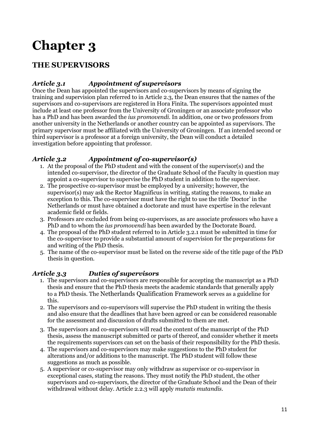## **THE SUPERVISORS**

### *Article 3.1 Appointment of supervisors*

Once the Dean has appointed the supervisors and co-supervisors by means of signing the training and supervision plan referred to in Article 2.3, the Dean ensures that the names of the supervisors and co-supervisors are registered in Hora Finita. The supervisors appointed must include at least one professor from the University of Groningen or an associate professor who has a PhD and has been awarded the *ius promovendi*. In addition, one or two professors from another university in the Netherlands or another country can be appointed as supervisors. The primary supervisor must be affiliated with the University of Groningen. If an intended second or third supervisor is a professor at a foreign university, the Dean will conduct a detailed investigation before appointing that professor.

### *Article 3.2 Appointment of co-supervisor(s)*

- 1. At the proposal of the PhD student and with the consent of the supervisor(s) and the intended co-supervisor, the director of the Graduate School of the Faculty in question may appoint a co-supervisor to supervise the PhD student in addition to the supervisor.
- 2. The prospective co-supervisor must be employed by a university; however, the supervisor(s) may ask the Rector Magnificus in writing, stating the reasons, to make an exception to this. The co-supervisor must have the right to use the title 'Doctor' in the Netherlands or must have obtained a doctorate and must have expertise in the relevant academic field or fields.
- 3. Professors are excluded from being co-supervisors, as are associate professors who have a PhD and to whom the *ius promovendi* has been awarded by the Doctorate Board.
- 4. The proposal of the PhD student referred to in Article 3.2.1 must be submitted in time for the co-supervisor to provide a substantial amount of supervision for the preparations for and writing of the PhD thesis.
- 5. The name of the co-supervisor must be listed on the reverse side of the title page of the PhD thesis in question.

#### *Article 3.3 Duties of supervisors*

- 1. The supervisors and co-supervisors are responsible for accepting the manuscript as a PhD thesis and ensure that the PhD thesis meets the academic standards that generally apply to a PhD thesis. The Netherlands Qualification Framework serves as a guideline for this.
- 2. The supervisors and co-supervisors will supervise the PhD student in writing the thesis and also ensure that the deadlines that have been agreed or can be considered reasonable for the assessment and discussion of drafts submitted to them are met.
- 3. The supervisors and co-supervisors will read the content of the manuscript of the PhD thesis, assess the manuscript submitted or parts of thereof, and consider whether it meets the requirements supervisors can set on the basis of their responsibility for the PhD thesis.
- 4. The supervisors and co-supervisors may make suggestions to the PhD student for alterations and/or additions to the manuscript. The PhD student will follow these suggestions as much as possible.
- 5. A supervisor or co-supervisor may only withdraw as supervisor or co-supervisor in exceptional cases, stating the reasons. They must notify the PhD student, the other supervisors and co-supervisors, the director of the Graduate School and the Dean of their withdrawal without delay. Article 2.2.3 will apply *mutatis mutandis*.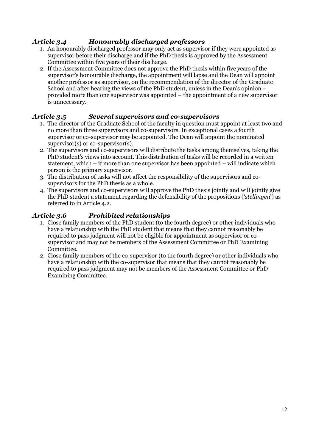## *Article 3.4 Honourably discharged professors*

- 1. An honourably discharged professor may only act as supervisor if they were appointed as supervisor before their discharge and if the PhD thesis is approved by the Assessment Committee within five years of their discharge.
- 2. If the Assessment Committee does not approve the PhD thesis within five years of the supervisor's honourable discharge, the appointment will lapse and the Dean will appoint another professor as supervisor, on the recommendation of the director of the Graduate School and after hearing the views of the PhD student, unless in the Dean's opinion – provided more than one supervisor was appointed – the appointment of a new supervisor is unnecessary.

## *Article 3.5 Several supervisors and co-supervisors*

- 1. The director of the Graduate School of the faculty in question must appoint at least two and no more than three supervisors and co-supervisors. In exceptional cases a fourth supervisor or co-supervisor may be appointed. The Dean will appoint the nominated supervisor(s) or co-supervisor(s).
- 2. The supervisors and co-supervisors will distribute the tasks among themselves, taking the PhD student's views into account. This distribution of tasks will be recorded in a written statement, which – if more than one supervisor has been appointed – will indicate which person is the primary supervisor.
- 3. The distribution of tasks will not affect the responsibility of the supervisors and cosupervisors for the PhD thesis as a whole.
- 4. The supervisors and co-supervisors will approve the PhD thesis jointly and will jointly give the PhD student a statement regarding the defensibility of the propositions ('*stellingen*') as referred to in Article 4.2.

## *Article 3.6 Prohibited relationships*

- 1. Close family members of the PhD student (to the fourth degree) or other individuals who have a relationship with the PhD student that means that they cannot reasonably be required to pass judgment will not be eligible for appointment as supervisor or cosupervisor and may not be members of the Assessment Committee or PhD Examining Committee.
- 2. Close family members of the co-supervisor (to the fourth degree) or other individuals who have a relationship with the co-supervisor that means that they cannot reasonably be required to pass judgment may not be members of the Assessment Committee or PhD Examining Committee.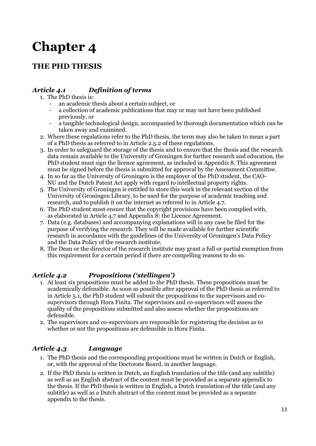## **THE PHD THESIS**

## *Article 4.1 Definition of terms*

- 1. The PhD thesis is:
	- an academic thesis about a certain subject, or
	- a collection of academic publications that may or may not have been published previously, or
	- a tangible technological design, accompanied by thorough documentation which can be taken away and examined.
- 2. Where these regulations refer to the PhD thesis, the term may also be taken to mean a part of a PhD thesis as referred to in Article 2.5.2 of these regulations.
- 3. In order to safeguard the storage of the thesis and to ensure that the thesis and the research data remain available to the University of Groningen for further research and education, the PhD student must sign the licence agreement, as included in Appendix 8. This agreement must be signed before the thesis is submitted for approval by the Assessment Committee.
- 4. In so far as the University of Groningen is the employer of the PhD student, the CAO-NU and the Dutch Patent Act apply with regard to intellectual property rights.
- 5. The University of Groningen is entitled to store this work in the relevant section of the University of Groningen Library, to be used for the purpose of academic teaching and research, and to publish it on the internet as referred to in Article 4.7.
- 6. The PhD student must ensure that the copyright provisions have been complied with, as elaborated in Article 4.7 and Appendix 8: the Licence Agreement.
- 7. Data (e.g. databases) and accompanying explanations will in any case be filed for the purpose of verifying the research. They will be made available for further scientific research in accordance with the guidelines of the University of Groningen's Data Policy and the Data Policy of the research institute.
- 8. The Dean or the director of the research institute may grant a full or partial exemption from this requirement for a certain period if there are compelling reasons to do so.

## *Article 4.2 Propositions ('stellingen')*

- 1. At least six propositions must be added to the PhD thesis. These propositions must be academically defensible. As soon as possible after approval of the PhD thesis as referred to in Article 5.1, the PhD student will submit the propositions to the supervisors and cosupervisors through Hora Finita. The supervisors and co-supervisors will assess the quality of the propositions submitted and also assess whether the propositions are defensible.
- 2. The supervisors and co-supervisors are responsible for registering the decision as to whether or not the propositions are defensible in Hora Finita.

## *Article 4.3 Language*

- 1. The PhD thesis and the corresponding propositions must be written in Dutch or English, or, with the approval of the Doctorate Board, in another language.
- 2. If the PhD thesis is written in Dutch, an English translation of the title (and any subtitle) as well as an English abstract of the content must be provided as a separate appendix to the thesis. If the PhD thesis is written in English, a Dutch translation of the title (and any subtitle) as well as a Dutch abstract of the content must be provided as a separate appendix to the thesis.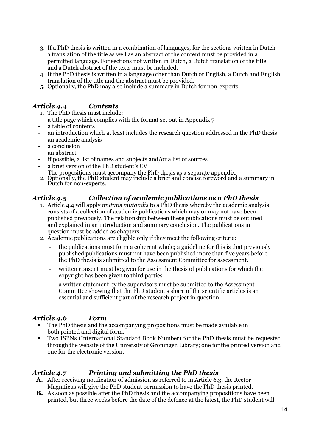- 3. If a PhD thesis is written in a combination of languages, for the sections written in Dutch a translation of the title as well as an abstract of the content must be provided in a permitted language. For sections not written in Dutch, a Dutch translation of the title and a Dutch abstract of the texts must be included.
- 4. If the PhD thesis is written in a language other than Dutch or English, a Dutch and English translation of the title and the abstract must be provided.
- 5. Optionally, the PhD may also include a summary in Dutch for non-experts.

### *Article 4.4 Contents*

- 1. The PhD thesis must include:
- a title page which complies with the format set out in Appendix 7
- a table of contents
- an introduction which at least includes the research question addressed in the PhD thesis
- an academic analysis
- a conclusion
- an abstract
- if possible, a list of names and subjects and/or a list of sources
- a brief version of the PhD student's CV
- The propositions must accompany the PhD thesis as a separate appendix.
- 2. Optionally, the PhD student may include a brief and concise foreword and a summary in Dutch for non-experts.

#### *Article 4.5 Collection of academic publications as a PhD thesis*

- 1. Article 4.4 will apply *mutatis mutandis* to a PhD thesis whereby the academic analysis consists of a collection of academic publications which may or may not have been published previously. The relationship between these publications must be outlined and explained in an introduction and summary conclusion. The publications in question must be added as chapters.
- 2. Academic publications are eligible only if they meet the following criteria:
	- the publications must form a coherent whole; a guideline for this is that previously published publications must not have been published more than five years before the PhD thesis is submitted to the Assessment Committee for assessment.
	- written consent must be given for use in the thesis of publications for which the copyright has been given to third parties
	- a written statement by the supervisors must be submitted to the Assessment Committee showing that the PhD student's share of the scientific articles is an essential and sufficient part of the research project in question.

#### *Article 4.6 Form*

- The PhD thesis and the accompanying propositions must be made available in both printed and digital form.
- Two ISBNs (International Standard Book Number) for the PhD thesis must be requested through the website of the University of Groningen Library; one for the printed version and one for the electronic version.

#### *Article 4.7 Printing and submitting the PhD thesis*

- **A.** After receiving notification of admission as referred to in Article 6.3, the Rector Magnificus will give the PhD student permission to have the PhD thesis printed.
- **B.** As soon as possible after the PhD thesis and the accompanying propositions have been printed, but three weeks before the date of the defence at the latest, the PhD student will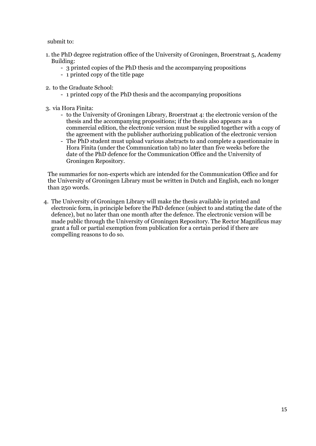submit to:

- 1. the PhD degree registration office of the University of Groningen, Broerstraat 5, Academy Building:
	- 3 printed copies of the PhD thesis and the accompanying propositions
	- 1 printed copy of the title page
- 2. to the Graduate School:
	- 1 printed copy of the PhD thesis and the accompanying propositions
- 3. via Hora Finita:
	- to the University of Groningen Library, Broerstraat 4: the electronic version of the thesis and the accompanying propositions; if the thesis also appears as a commercial edition, the electronic version must be supplied together with a copy of the agreement with the publisher authorizing publication of the electronic version
	- The PhD student must upload various abstracts to and complete a questionnaire in Hora Finita (under the Communication tab) no later than five weeks before the date of the PhD defence for the Communication Office and the University of Groningen Repository.

The summaries for non-experts which are intended for the Communication Office and for the University of Groningen Library must be written in Dutch and English, each no longer than 250 words.

4. The University of Groningen Library will make the thesis available in printed and electronic form, in principle before the PhD defence (subject to and stating the date of the defence), but no later than one month after the defence. The electronic version will be made public through the University of Groningen Repository. The Rector Magnificus may grant a full or partial exemption from publication for a certain period if there are compelling reasons to do so.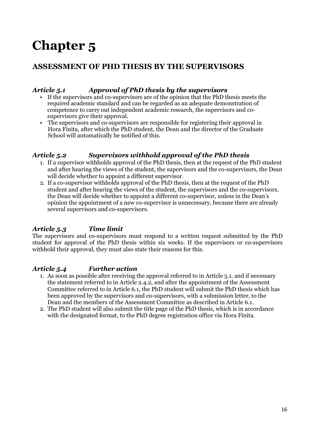## **ASSESSMENT OF PHD THESIS BY THE SUPERVISORS**

#### *Article 5.1 Approval of PhD thesis by the supervisors*

- If the supervisors and co-supervisors are of the opinion that the PhD thesis meets the required academic standard and can be regarded as an adequate demonstration of competence to carry out independent academic research, the supervisors and cosupervisors give their approval.
- The supervisors and co-supervisors are responsible for registering their approval in Hora Finita, after which the PhD student, the Dean and the director of the Graduate School will automatically be notified of this.

#### *Article 5.2 Supervisors withhold approval of the PhD thesis*

- 1. If a supervisor withholds approval of the PhD thesis, then at the request of the PhD student and after hearing the views of the student, the supervisors and the co-supervisors, the Dean will decide whether to appoint a different supervisor.
- 2. If a co-supervisor withholds approval of the PhD thesis, then at the request of the PhD student and after hearing the views of the student, the supervisors and the co-supervisors, the Dean will decide whether to appoint a different co-supervisor, unless in the Dean's opinion the appointment of a new co-supervisor is unnecessary, because there are already several supervisors and co-supervisors.

#### *Article 5.3 Time limit*

The supervisors and co-supervisors must respond to a written request submitted by the PhD student for approval of the PhD thesis within six weeks. If the supervisors or co-supervisors withhold their approval, they must also state their reasons for this.

#### *Article 5.4 Further action*

- 1. As soon as possible after receiving the approval referred to in Article 5.1. and if necessary the statement referred to in Article 2.4.2, and after the appointment of the Assessment Committee referred to in Article 6.1, the PhD student will submit the PhD thesis which has been approved by the supervisors and co-supervisors, with a submission letter, to the Dean and the members of the Assessment Committee as described in Article 6.1.
- 2. The PhD student will also submit the title page of the PhD thesis, which is in accordance with the designated format, to the PhD degree registration office via Hora Finita.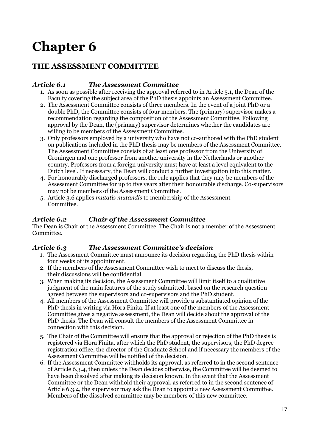## **THE ASSESSMENT COMMITTEE**

#### *Article 6.1 The Assessment Committee*

- 1. As soon as possible after receiving the approval referred to in Article 5.1, the Dean of the Faculty covering the subject area of the PhD thesis appoints an Assessment Committee.
- 2. The Assessment Committee consists of three members. In the event of a joint PhD or a double PhD, the Committee consists of four members. The (primary) supervisor makes a recommendation regarding the composition of the Assessment Committee. Following approval by the Dean, the (primary) supervisor determines whether the candidates are willing to be members of the Assessment Committee.
- 3. Only professors employed by a university who have not co-authored with the PhD student on publications included in the PhD thesis may be members of the Assessment Committee. The Assessment Committee consists of at least one professor from the University of Groningen and one professor from another university in the Netherlands or another country. Professors from a foreign university must have at least a level equivalent to the Dutch level. If necessary, the Dean will conduct a further investigation into this matter.
- 4. For honourably discharged professors, the rule applies that they may be members of the Assessment Committee for up to five years after their honourable discharge. Co-supervisors may not be members of the Assessment Committee.
- 5. Article 3.6 applies *mutatis mutandis* to membership of the Assessment Committee.

#### *Article 6.2 Chair of the Assessment Committee*

The Dean is Chair of the Assessment Committee. The Chair is not a member of the Assessment Committee.

#### *Article 6.3 The Assessment Committee's decision*

- 1. The Assessment Committee must announce its decision regarding the PhD thesis within four weeks of its appointment.
- 2. If the members of the Assessment Committee wish to meet to discuss the thesis, their discussions will be confidential.
- 3. When making its decision, the Assessment Committee will limit itself to a qualitative judgment of the main features of the study submitted, based on the research question agreed between the supervisors and co-supervisors and the PhD student.
- 4. All members of the Assessment Committee will provide a substantiated opinion of the PhD thesis in writing via Hora Finita. If at least one of the members of the Assessment Committee gives a negative assessment, the Dean will decide about the approval of the PhD thesis. The Dean will consult the members of the Assessment Committee in connection with this decision.
- 5. The Chair of the Committee will ensure that the approval or rejection of the PhD thesis is registered via Hora Finita, after which the PhD student, the supervisors, the PhD degree registration office, the director of the Graduate School and if necessary the members of the Assessment Committee will be notified of the decision.
- 6. If the Assessment Committee withholds its approval, as referred to in the second sentence of Article 6.3.4, then unless the Dean decides otherwise, the Committee will be deemed to have been dissolved after making its decision known. In the event that the Assessment Committee or the Dean withhold their approval, as referred to in the second sentence of Article 6.3.4, the supervisor may ask the Dean to appoint a new Assessment Committee. Members of the dissolved committee may be members of this new committee.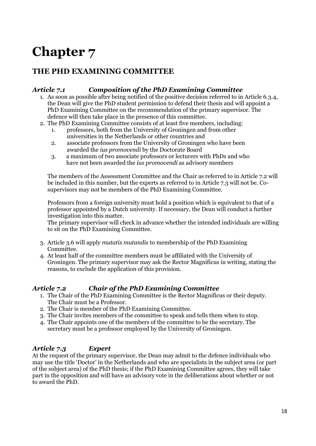## **THE PHD EXAMINING COMMITTEE**

#### *Article 7.1 Composition of the PhD Examining Committee*

- 1. As soon as possible after being notified of the positive decision referred to in Article 6.3.4, the Dean will give the PhD student permission to defend their thesis and will appoint a PhD Examining Committee on the recommendation of the primary supervisor. The defence will then take place in the presence of this committee.
- 2. The PhD Examining Committee consists of at least five members, including:
	- 1. professors, both from the University of Groningen and from other universities in the Netherlands or other countries and
	- 2. associate professors from the University of Groningen who have been awarded the *ius promovendi* by the Doctorate Board
	- 3. a maximum of two associate professors or lecturers with PhDs and who have not been awarded the *ius promovendi* as advisory members

The members of the Assessment Committee and the Chair as referred to in Article 7.2 will be included in this number, but the experts as referred to in Article 7.3 will not be. Cosupervisors may not be members of the PhD Examining Committee.

Professors from a foreign university must hold a position which is equivalent to that of a professor appointed by a Dutch university. If necessary, the Dean will conduct a further investigation into this matter.

The primary supervisor will check in advance whether the intended individuals are willing to sit on the PhD Examining Committee.

- 3. Article 3.6 will apply *mutatis mutandis* to membership of the PhD Examining Committee.
- 4. At least half of the committee members must be affiliated with the University of Groningen. The primary supervisor may ask the Rector Magnificus in writing, stating the reasons, to exclude the application of this provision.

#### *Article 7.2 Chair of the PhD Examining Committee*

- 1. The Chair of the PhD Examining Committee is the Rector Magnificus or their deputy. The Chair must be a Professor.
- 2. The Chair is member of the PhD Examining Committee.
- 3. The Chair invites members of the committee to speak and tells them when to stop.
- 4. The Chair appoints one of the members of the committee to be the secretary. The secretary must be a professor employed by the University of Groningen.

#### *Article 7.3 Expert*

At the request of the primary supervisor, the Dean may admit to the defence individuals who may use the title 'Doctor' in the Netherlands and who are specialists in the subject area (or part of the subject area) of the PhD thesis; if the PhD Examining Committee agrees, they will take part in the opposition and will have an advisory vote in the deliberations about whether or not to award the PhD.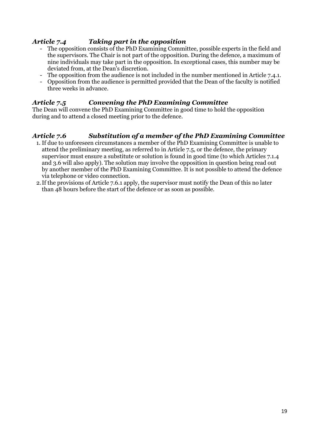### *Article 7.4 Taking part in the opposition*

- The opposition consists of the PhD Examining Committee, possible experts in the field and the supervisors. The Chair is not part of the opposition. During the defence, a maximum of nine individuals may take part in the opposition. In exceptional cases, this number may be deviated from, at the Dean's discretion.
- The opposition from the audience is not included in the number mentioned in Article 7.4.1.
- Opposition from the audience is permitted provided that the Dean of the faculty is notified three weeks in advance.

#### *Article 7.5 Convening the PhD Examining Committee*

The Dean will convene the PhD Examining Committee in good time to hold the opposition during and to attend a closed meeting prior to the defence.

#### *Article 7.6 Substitution of a member of the PhD Examining Committee*

- 1. If due to unforeseen circumstances a member of the PhD Examining Committee is unable to attend the preliminary meeting, as referred to in Article 7.5, or the defence, the primary supervisor must ensure a substitute or solution is found in good time (to which Articles 7.1.4 and 3.6 will also apply). The solution may involve the opposition in question being read out by another member of the PhD Examining Committee. It is not possible to attend the defence via telephone or video connection.
- 2.If the provisions of Article 7.6.1 apply, the supervisor must notify the Dean of this no later than 48 hours before the start of the defence or as soon as possible.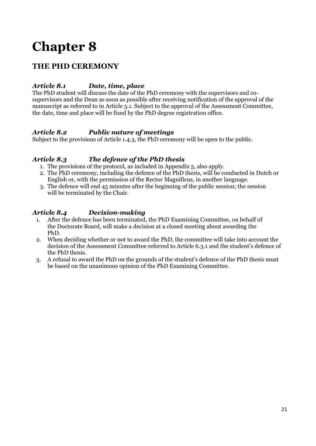## **THE PHD CEREMONY**

### *Article 8.1 Date, time, place*

The PhD student will discuss the date of the PhD ceremony with the supervisors and cosupervisors and the Dean as soon as possible after receiving notification of the approval of the manuscript as referred to in Article 5.1. Subject to the approval of the Assessment Committee, the date, time and place will be fixed by the PhD degree registration office.

#### *Article 8.2 Public nature of meetings*

Subject to the provisions of Article 1.4.3, the PhD ceremony will be open to the public.

#### *Article 8.3 The defence of the PhD thesis*

- 1. The provisions of the protocol, as included in Appendix 5, also apply.
- 2. The PhD ceremony, including the defence of the PhD thesis, will be conducted in Dutch or English or, with the permission of the Rector Magnificus, in another language.
- 3. The defence will end 45 minutes after the beginning of the public session; the session will be terminated by the Chair.

### *Article 8.4 Decision-making*

- 1. After the defence has been terminated, the PhD Examining Committee, on behalf of the Doctorate Board, will make a decision at a closed meeting about awarding the PhD.
- 2. When deciding whether or not to award the PhD, the committee will take into account the decision of the Assessment Committee referred to Article 6.3.1 and the student's defence of the PhD thesis.
- 3. A refusal to award the PhD on the grounds of the student's defence of the PhD thesis must be based on the unanimous opinion of the PhD Examining Committee.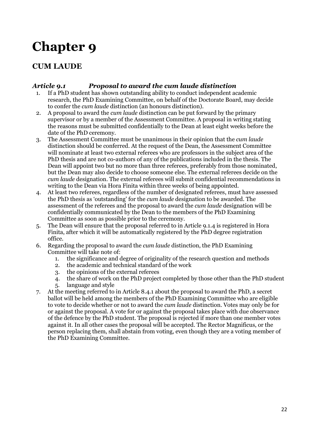## **CUM LAUDE**

#### *Article 9.1 Proposal to award the cum laude distinction*

- 1. If a PhD student has shown outstanding ability to conduct independent academic research, the PhD Examining Committee, on behalf of the Doctorate Board, may decide to confer the *cum laude* distinction (an honours distinction).
- 2. A proposal to award the *cum laude* distinction can be put forward by the primary supervisor or by a member of the Assessment Committee. A proposal in writing stating the reasons must be submitted confidentially to the Dean at least eight weeks before the date of the PhD ceremony.
- 3. The Assessment Committee must be unanimous in their opinion that the *cum laude* distinction should be conferred. At the request of the Dean, the Assessment Committee will nominate at least two external referees who are professors in the subject area of the PhD thesis and are not co-authors of any of the publications included in the thesis. The Dean will appoint two but no more than three referees, preferably from those nominated, but the Dean may also decide to choose someone else. The external referees decide on the *cum laude* designation. The external referees will submit confidential recommendations in writing to the Dean via Hora Finita within three weeks of being appointed.
- 4. At least two referees, regardless of the number of designated referees, must have assessed the PhD thesis as 'outstanding' for the *cum laude* designation to be awarded. The assessment of the referees and the proposal to award the *cum laude* designation will be confidentially communicated by the Dean to the members of the PhD Examining Committee as soon as possible prior to the ceremony.
- 5. The Dean will ensure that the proposal referred to in Article 9.1.4 is registered in Hora Finita, after which it will be automatically registered by the PhD degree registration office.
- 6. Regarding the proposal to award the *cum laude* distinction, the PhD Examining Committee will take note of:
	- 1. the significance and degree of originality of the research question and methods
	- 2. the academic and technical standard of the work
	- 3. the opinions of the external referees
	- 4. the share of work on the PhD project completed by those other than the PhD student
	- 5. language and style
- 7. At the meeting referred to in Article 8.4.1 about the proposal to award the PhD, a secret ballot will be held among the members of the PhD Examining Committee who are eligible to vote to decide whether or not to award the *cum laude* distinction. Votes may only be for or against the proposal. A vote for or against the proposal takes place with due observance of the defence by the PhD student. The proposal is rejected if more than one member votes against it. In all other cases the proposal will be accepted. The Rector Magnificus, or the person replacing them, shall abstain from voting, even though they are a voting member of the PhD Examining Committee.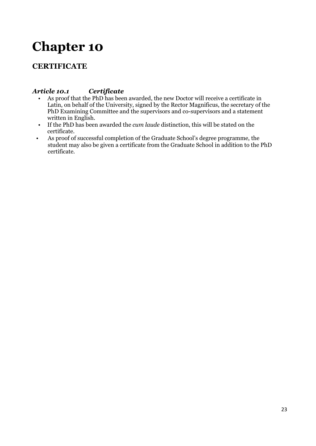## **CERTIFICATE**

### *Article 10.1 Certificate*

- As proof that the PhD has been awarded, the new Doctor will receive a certificate in Latin, on behalf of the University, signed by the Rector Magnificus, the secretary of the PhD Examining Committee and the supervisors and co-supervisors and a statement written in English.
- If the PhD has been awarded the *cum laude* distinction, this will be stated on the certificate.
- As proof of successful completion of the Graduate School's degree programme, the student may also be given a certificate from the Graduate School in addition to the PhD certificate.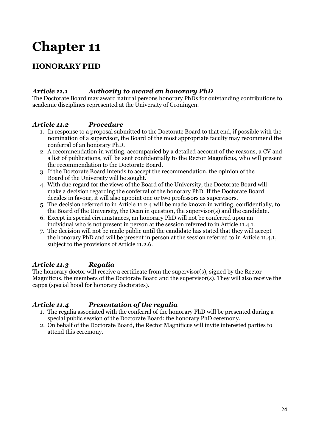## **HONORARY PHD**

#### *Article 11.1 Authority to award an honorary PhD*

The Doctorate Board may award natural persons honorary PhDs for outstanding contributions to academic disciplines represented at the University of Groningen.

#### *Article 11.2 Procedure*

- 1. In response to a proposal submitted to the Doctorate Board to that end, if possible with the nomination of a supervisor, the Board of the most appropriate faculty may recommend the conferral of an honorary PhD.
- 2. A recommendation in writing, accompanied by a detailed account of the reasons, a CV and a list of publications, will be sent confidentially to the Rector Magnificus, who will present the recommendation to the Doctorate Board.
- 3. If the Doctorate Board intends to accept the recommendation, the opinion of the Board of the University will be sought.
- 4. With due regard for the views of the Board of the University, the Doctorate Board will make a decision regarding the conferral of the honorary PhD. If the Doctorate Board decides in favour, it will also appoint one or two professors as supervisors.
- 5. The decision referred to in Article 11.2.4 will be made known in writing, confidentially, to the Board of the University, the Dean in question, the supervisor(s) and the candidate.
- 6. Except in special circumstances, an honorary PhD will not be conferred upon an individual who is not present in person at the session referred to in Article 11.4.1.
- 7. The decision will not be made public until the candidate has stated that they will accept the honorary PhD and will be present in person at the session referred to in Article 11.4.1, subject to the provisions of Article 11.2.6.

#### *Article 11.3 Regalia*

The honorary doctor will receive a certificate from the supervisor(s), signed by the Rector Magnificus, the members of the Doctorate Board and the supervisor(s). They will also receive the cappa (special hood for honorary doctorates).

#### *Article 11.4 Presentation of the regalia*

- 1. The regalia associated with the conferral of the honorary PhD will be presented during a special public session of the Doctorate Board: the honorary PhD ceremony.
- 2. On behalf of the Doctorate Board, the Rector Magnificus will invite interested parties to attend this ceremony.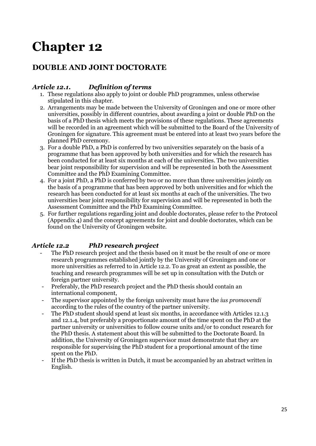## **DOUBLE AND JOINT DOCTORATE**

#### *Article 12.1. Definition of terms*

- 1. These regulations also apply to joint or double PhD programmes, unless otherwise stipulated in this chapter.
- 2. Arrangements may be made between the University of Groningen and one or more other universities, possibly in different countries, about awarding a joint or double PhD on the basis of a PhD thesis which meets the provisions of these regulations. These agreements will be recorded in an agreement which will be submitted to the Board of the University of Groningen for signature. This agreement must be entered into at least two years before the planned PhD ceremony.
- 3. For a double PhD, a PhD is conferred by two universities separately on the basis of a programme that has been approved by both universities and for which the research has been conducted for at least six months at each of the universities. The two universities bear joint responsibility for supervision and will be represented in both the Assessment Committee and the PhD Examining Committee.
- 4. For a joint PhD, a PhD is conferred by two or no more than three universities jointly on the basis of a programme that has been approved by both universities and for which the research has been conducted for at least six months at each of the universities. The two universities bear joint responsibility for supervision and will be represented in both the Assessment Committee and the PhD Examining Committee.
- 5. For further regulations regarding joint and double doctorates, please refer to the Protocol (Appendix 4) and the concept agreements for joint and double doctorates, which can be found on the University of Groningen website.

## *Article 12.2 PhD research project*

- The PhD research project and the thesis based on it must be the result of one or more research programmes established jointly by the University of Groningen and one or more universities as referred to in Article 12.2. To as great an extent as possible, the teaching and research programmes will be set up in consultation with the Dutch or foreign partner university.
- Preferably, the PhD research project and the PhD thesis should contain an international component,
- The supervisor appointed by the foreign university must have the *ius promovendi* according to the rules of the country of the partner university.
- The PhD student should spend at least six months, in accordance with Articles 12.1.3 and 12.1.4, but preferably a proportionate amount of the time spent on the PhD at the partner university or universities to follow course units and/or to conduct research for the PhD thesis. A statement about this will be submitted to the Doctorate Board. In addition, the University of Groningen supervisor must demonstrate that they are responsible for supervising the PhD student for a proportional amount of the time spent on the PhD.
- If the PhD thesis is written in Dutch, it must be accompanied by an abstract written in English.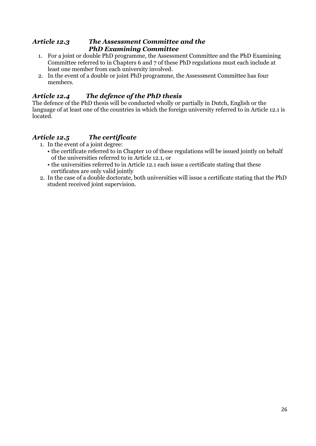#### *Article 12.3 The Assessment Committee and the PhD Examining Committee*

- 1. For a joint or double PhD programme, the Assessment Committee and the PhD Examining Committee referred to in Chapters 6 and 7 of these PhD regulations must each include at least one member from each university involved.
- 2. In the event of a double or joint PhD programme, the Assessment Committee has four members.

#### *Article 12.4 The defence of the PhD thesis*

The defence of the PhD thesis will be conducted wholly or partially in Dutch, English or the language of at least one of the countries in which the foreign university referred to in Article 12.1 is located.

## *Article 12.5 The certificate*

- 1. In the event of a joint degree:
	- the certificate referred to in Chapter 10 of these regulations will be issued jointly on behalf of the universities referred to in Article 12.1, or
	- the universities referred to in Article 12.1 each issue a certificate stating that these certificates are only valid jointly
- 2. In the case of a double doctorate, both universities will issue a certificate stating that the PhD student received joint supervision.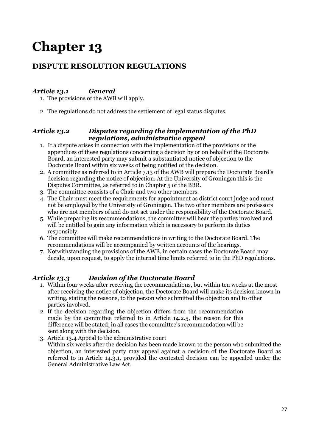## **DISPUTE RESOLUTION REGULATIONS**

## *Article 13.1 General*

1. The provisions of the AWB will apply.

2. The regulations do not address the settlement of legal status disputes.

#### *Article 13.2 Disputes regarding the implementation of the PhD regulations, administrative appeal*

- 1. If a dispute arises in connection with the implementation of the provisions or the appendices of these regulations concerning a decision by or on behalf of the Doctorate Board, an interested party may submit a substantiated notice of objection to the Doctorate Board within six weeks of being notified of the decision.
- 2. A committee as referred to in Article 7.13 of the AWB will prepare the Doctorate Board's decision regarding the notice of objection. At the University of Groningen this is the Disputes Committee, as referred to in Chapter 5 of the BBR.
- 3. The committee consists of a Chair and two other members.
- 4. The Chair must meet the requirements for appointment as district court judge and must not be employed by the University of Groningen. The two other members are professors who are not members of and do not act under the responsibility of the Doctorate Board.
- 5. While preparing its recommendations, the committee will hear the parties involved and will be entitled to gain any information which is necessary to perform its duties responsibly.
- 6. The committee will make recommendations in writing to the Doctorate Board. The recommendations will be accompanied by written accounts of the hearings.
- 7. Notwithstanding the provisions of the AWB, in certain cases the Doctorate Board may decide, upon request, to apply the internal time limits referred to in the PhD regulations.

## *Article 13.3 Decision of the Doctorate Board*

- 1. Within four weeks after receiving the recommendations, but within ten weeks at the most after receiving the notice of objection, the Doctorate Board will make its decision known in writing, stating the reasons, to the person who submitted the objection and to other parties involved.
- 2. If the decision regarding the objection differs from the recommendation made by the committee referred to in Article 14.2.5, the reason for this difference will be stated; in all cases the committee's recommendation will be sent along with the decision.
- 3. Article 13.4 Appeal to the administrative court Within six weeks after the decision has been made known to the person who submitted the objection, an interested party may appeal against a decision of the Doctorate Board as referred to in Article 14.3.1, provided the contested decision can be appealed under the General Administrative Law Act.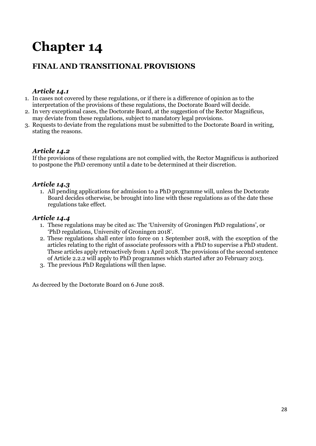## **FINAL AND TRANSITIONAL PROVISIONS**

### *Article 14.1*

- 1. In cases not covered by these regulations, or if there is a difference of opinion as to the interpretation of the provisions of these regulations, the Doctorate Board will decide.
- 2. In very exceptional cases, the Doctorate Board, at the suggestion of the Rector Magnificus, may deviate from these regulations, subject to mandatory legal provisions.
- 3. Requests to deviate from the regulations must be submitted to the Doctorate Board in writing, stating the reasons.

#### *Article 14.2*

If the provisions of these regulations are not complied with, the Rector Magnificus is authorized to postpone the PhD ceremony until a date to be determined at their discretion.

#### *Article 14.3*

1. All pending applications for admission to a PhD programme will, unless the Doctorate Board decides otherwise, be brought into line with these regulations as of the date these regulations take effect.

#### *Article 14.4*

- 1. These regulations may be cited as: The 'University of Groningen PhD regulations', or 'PhD regulations, University of Groningen 2018'.
- 2. These regulations shall enter into force on 1 September 2018, with the exception of the articles relating to the right of associate professors with a PhD to supervise a PhD student. These articles apply retroactively from 1 April 2018. The provisions of the second sentence of Article 2.2.2 will apply to PhD programmes which started after 20 February 2013.
- 3. The previous PhD Regulations will then lapse.

As decreed by the Doctorate Board on 6 June 2018.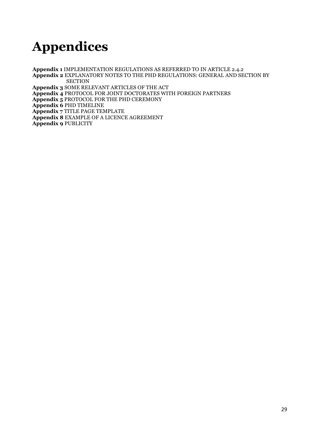## <span id="page-27-0"></span>**Appendices**

**Appendix 1** IMPLEMENTATION REGULATIONS AS REFERRED TO IN ARTICLE 2.4.2 **Appendix 2** EXPLANATORY NOTES TO THE PHD REGULATIONS: GENERAL AND SECTION BY **SECTION Appendix 3** SOME RELEVANT ARTICLES OF THE ACT **Appendix 4** PROTOCOL FOR JOINT DOCTORATES WITH FOREIGN PARTNERS **Appendix 5** PROTOCOL FOR THE PHD CEREMONY **Appendix 6** PHD TIMELINE **Appendix 7** TITLE PAGE TEMPLATE **Appendix 8** EXAMPLE OF A LICENCE AGREEMENT **Appendix 9** PUBLICITY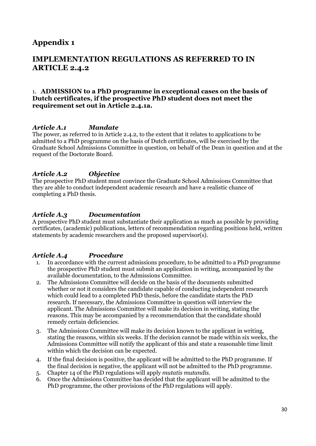## **Appendix 1**

## **IMPLEMENTATION REGULATIONS AS REFERRED TO IN ARTICLE 2.4.2**

#### 1. **ADMISSION to a PhD programme in exceptional cases on the basis of Dutch certificates, if the prospective PhD student does not meet the requirement set out in Article 2.4.1a.**

#### *Article A.1 Mandate*

The power, as referred to in Article 2.4.2, to the extent that it relates to applications to be admitted to a PhD programme on the basis of Dutch certificates, will be exercised by the Graduate School Admissions Committee in question, on behalf of the Dean in question and at the request of the Doctorate Board.

#### *Article A.2 Objective*

The prospective PhD student must convince the Graduate School Admissions Committee that they are able to conduct independent academic research and have a realistic chance of completing a PhD thesis.

#### *Article A.3 Documentation*

A prospective PhD student must substantiate their application as much as possible by providing certificates, (academic) publications, letters of recommendation regarding positions held, written statements by academic researchers and the proposed supervisor(s).

#### *Article A.4 Procedure*

- 1. In accordance with the current admissions procedure, to be admitted to a PhD programme the prospective PhD student must submit an application in writing, accompanied by the available documentation, to the Admissions Committee.
- 2. The Admissions Committee will decide on the basis of the documents submitted whether or not it considers the candidate capable of conducting independent research which could lead to a completed PhD thesis, before the candidate starts the PhD research. If necessary, the Admissions Committee in question will interview the applicant. The Admissions Committee will make its decision in writing, stating the reasons. This may be accompanied by a recommendation that the candidate should remedy certain deficiencies.
- 3. The Admissions Committee will make its decision known to the applicant in writing, stating the reasons, within six weeks. If the decision cannot be made within six weeks, the Admissions Committee will notify the applicant of this and state a reasonable time limit within which the decision can be expected.
- 4. If the final decision is positive, the applicant will be admitted to the PhD programme. If the final decision is negative, the applicant will not be admitted to the PhD programme.
- 5. Chapter 14 of the PhD regulations will apply *mutatis mutandis*.
- 6. Once the Admissions Committee has decided that the applicant will be admitted to the PhD programme, the other provisions of the PhD regulations will apply.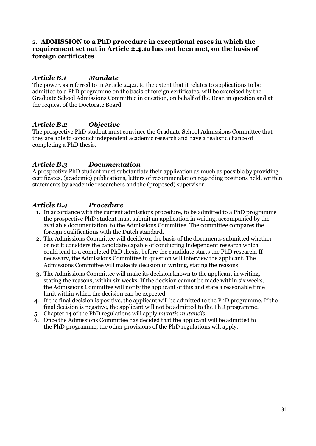#### 2. **ADMISSION to a PhD procedure in exceptional cases in which the requirement set out in Article 2.4.1a has not been met, on the basis of foreign certificates**

#### *Article B.1 Mandate*

The power, as referred to in Article 2.4.2, to the extent that it relates to applications to be admitted to a PhD programme on the basis of foreign certificates, will be exercised by the Graduate School Admissions Committee in question, on behalf of the Dean in question and at the request of the Doctorate Board.

#### *Article B.2 Objective*

The prospective PhD student must convince the Graduate School Admissions Committee that they are able to conduct independent academic research and have a realistic chance of completing a PhD thesis.

#### *Article B.3 Documentation*

A prospective PhD student must substantiate their application as much as possible by providing certificates, (academic) publications, letters of recommendation regarding positions held, written statements by academic researchers and the (proposed) supervisor.

#### *Article B.4 Procedure*

- 1. In accordance with the current admissions procedure, to be admitted to a PhD programme the prospective PhD student must submit an application in writing, accompanied by the available documentation, to the Admissions Committee. The committee compares the foreign qualifications with the Dutch standard.
- 2. The Admissions Committee will decide on the basis of the documents submitted whether or not it considers the candidate capable of conducting independent research which could lead to a completed PhD thesis, before the candidate starts the PhD research. If necessary, the Admissions Committee in question will interview the applicant. The Admissions Committee will make its decision in writing, stating the reasons.
- 3. The Admissions Committee will make its decision known to the applicant in writing, stating the reasons, within six weeks. If the decision cannot be made within six weeks, the Admissions Committee will notify the applicant of this and state a reasonable time limit within which the decision can be expected.
- 4. If the final decision is positive, the applicant will be admitted to the PhD programme. If the final decision is negative, the applicant will not be admitted to the PhD programme.
- 5. Chapter 14 of the PhD regulations will apply *mutatis mutandis*.
- 6. Once the Admissions Committee has decided that the applicant will be admitted to the PhD programme, the other provisions of the PhD regulations will apply.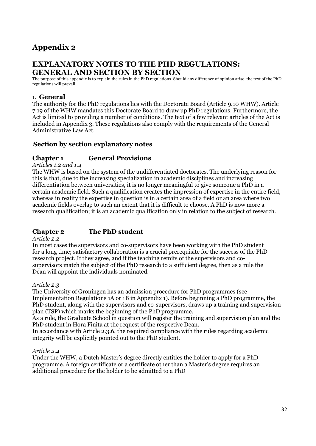## **Appendix 2**

### **EXPLANATORY NOTES TO THE PHD REGULATIONS: GENERAL AND SECTION BY SECTION**

The purpose of this appendix is to explain the rules in the PhD regulations. Should any difference of opinion arise, the text of the PhD regulations will prevail.

#### 1. **General**

The authority for the PhD regulations lies with the Doctorate Board (Article 9.10 WHW). Article 7.19 of the WHW mandates this Doctorate Board to draw up PhD regulations. Furthermore, the Act is limited to providing a number of conditions. The text of a few relevant articles of the Act is included in Appendix 3. These regulations also comply with the requirements of the General Administrative Law Act.

#### **Section by section explanatory notes**

#### **Chapter 1 General Provisions**

*Articles 1.2 and 1.4*

The WHW is based on the system of the undifferentiated doctorates. The underlying reason for this is that, due to the increasing specialization in academic disciplines and increasing differentiation between universities, it is no longer meaningful to give someone a PhD in a certain academic field. Such a qualification creates the impression of expertise in the entire field, whereas in reality the expertise in question is in a certain area of a field or an area where two academic fields overlap to such an extent that it is difficult to choose. A PhD is now more a research qualification; it is an academic qualification only in relation to the subject of research.

#### <span id="page-30-0"></span>**Chapter 2 The PhD student**

#### *Article 2.2*

In most cases the supervisors and co-supervisors have been working with the PhD student for a long time; satisfactory collaboration is a crucial prerequisite for the success of the PhD research project. If they agree, and if the teaching remits of the supervisors and cosupervisors match the subject of the PhD research to a sufficient degree, then as a rule the Dean will appoint the individuals nominated.

#### *Article 2.3*

The University of Groningen has an admission procedure for PhD programmes (see Implementation Regulations 1A or 1B in Appendix 1). Before beginning a PhD programme, the PhD student, along with the supervisors and co-supervisors, draws up a training and supervision plan (TSP) which marks the beginning of the PhD programme.

As a rule, the Graduate School in question will register the training and supervision plan and the PhD student in Hora Finita at the request of the respective Dean.

In accordance with Article 2.3.6, the required compliance with the rules regarding academic integrity will be explicitly pointed out to the PhD student.

#### *Article 2.4*

Under the WHW, a Dutch Master's degree directly entitles the holder to apply for a PhD programme. A foreign certificate or a certificate other than a Master's degree requires an additional procedure for the holder to be admitted to a PhD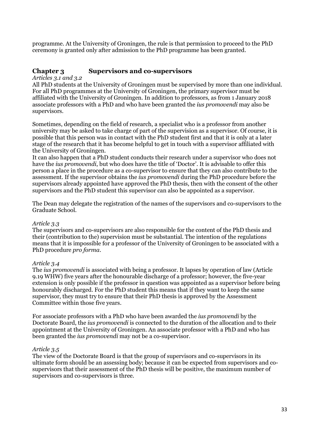programme. At the University of Groningen, the rule is that permission to proceed to the PhD ceremony is granted only after admission to the PhD programme has been granted.

#### <span id="page-31-0"></span>**Chapter 3 Supervisors and co-supervisors**

#### *Articles 3.1 and 3.2*

All PhD students at the University of Groningen must be supervised by more than one individual. For all PhD programmes at the University of Groningen, the primary supervisor must be affiliated with the University of Groningen. In addition to professors, as from 1 January 2018 associate professors with a PhD and who have been granted the *ius promovendi* may also be supervisors.

Sometimes, depending on the field of research, a specialist who is a professor from another university may be asked to take charge of part of the supervision as a supervisor. Of course, it is possible that this person was in contact with the PhD student first and that it is only at a later stage of the research that it has become helpful to get in touch with a supervisor affiliated with the University of Groningen.

It can also happen that a PhD student conducts their research under a supervisor who does not have the *ius promovendi*, but who does have the title of 'Doctor'. It is advisable to offer this person a place in the procedure as a co-supervisor to ensure that they can also contribute to the assessment. If the supervisor obtains the *ius promovendi* during the PhD procedure before the supervisors already appointed have approved the PhD thesis, then with the consent of the other supervisors and the PhD student this supervisor can also be appointed as a supervisor.

The Dean may delegate the registration of the names of the supervisors and co-supervisors to the Graduate School.

#### *Article 3.3*

The supervisors and co-supervisors are also responsible for the content of the PhD thesis and their (contribution to the) supervision must be substantial. The intention of the regulations means that it is impossible for a professor of the University of Groningen to be associated with a PhD procedure *pro forma*.

#### *Article 3.4*

The *ius promovendi* is associated with being a professor. It lapses by operation of law (Article 9.19 WHW) five years after the honourable discharge of a professor; however, the five-year extension is only possible if the professor in question was appointed as a supervisor before being honourably discharged. For the PhD student this means that if they want to keep the same supervisor, they must try to ensure that their PhD thesis is approved by the Assessment Committee within those five years.

For associate professors with a PhD who have been awarded the *ius promovendi* by the Doctorate Board, the *ius promovendi* is connected to the duration of the allocation and to their appointment at the University of Groningen. An associate professor with a PhD and who has been granted the *ius promovendi* may not be a co-supervisor.

#### *Article 3.5*

The view of the Doctorate Board is that the group of supervisors and co-supervisors in its ultimate form should be an assessing body; because it can be expected from supervisors and cosupervisors that their assessment of the PhD thesis will be positive, the maximum number of supervisors and co-supervisors is three.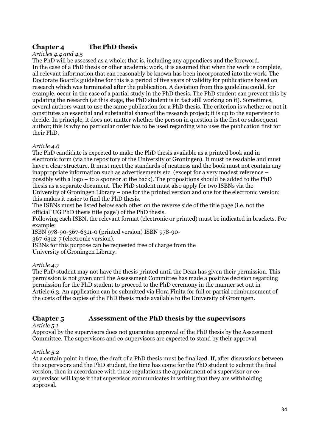## <span id="page-32-0"></span>**Chapter 4 The PhD thesis**

#### *Articles 4.4 and 4.5*

The PhD will be assessed as a whole; that is, including any appendices and the foreword. In the case of a PhD thesis or other academic work, it is assumed that when the work is complete, all relevant information that can reasonably be known has been incorporated into the work. The Doctorate Board's guideline for this is a period of five years of validity for publications based on research which was terminated after the publication. A deviation from this guideline could, for example, occur in the case of a partial study in the PhD thesis. The PhD student can prevent this by updating the research (at this stage, the PhD student is in fact still working on it). Sometimes, several authors want to use the same publication for a PhD thesis. The criterion is whether or not it constitutes an essential and substantial share of the research project; it is up to the supervisor to decide. In principle, it does not matter whether the person in question is the first or subsequent author; this is why no particular order has to be used regarding who uses the publication first for their PhD.

#### *Article 4.6*

The PhD candidate is expected to make the PhD thesis available as a printed book and in electronic form (via the repository of the University of Groningen). It must be readable and must have a clear structure. It must meet the standards of neatness and the book must not contain any inappropriate information such as advertisements etc. (except for a very modest reference – possibly with a logo – to a sponsor at the back). The propositions should be added to the PhD thesis as a separate document. The PhD student must also apply for two ISBNs via the University of Groningen Library – one for the printed version and one for the electronic version; this makes it easier to find the PhD thesis.

The ISBNs must be listed below each other on the reverse side of the title page (i.e. not the official 'UG PhD thesis title page') of the PhD thesis.

Following each ISBN, the relevant format (electronic or printed) must be indicated in brackets. For example:

ISBN 978-90-367-6311-0 (printed version) ISBN 978-90-

367-6312-7 (electronic version).

ISBNs for this purpose can be requested free of charge from the

University of Groningen Library.

#### *Article 4.7*

The PhD student may not have the thesis printed until the Dean has given their permission. This permission is not given until the Assessment Committee has made a positive decision regarding permission for the PhD student to proceed to the PhD ceremony in the manner set out in Article 6.3. An application can be submitted via Hora Finita for full or partial reimbursement of the costs of the copies of the PhD thesis made available to the University of Groningen.

#### **Chapter 5 Assessment of the PhD thesis by the supervisors**

#### *Article 5.1*

Approval by the supervisors does not guarantee approval of the PhD thesis by the Assessment Committee. The supervisors and co-supervisors are expected to stand by their approval.

#### *Article 5.2*

<span id="page-32-1"></span>At a certain point in time, the draft of a PhD thesis must be finalized. If, after discussions between the supervisors and the PhD student, the time has come for the PhD student to submit the final version, then in accordance with these regulations the appointment of a supervisor or cosupervisor will lapse if that supervisor communicates in writing that they are withholding approval.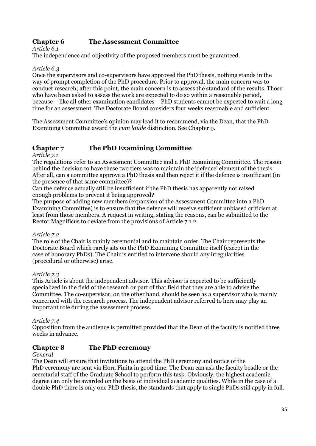#### **Chapter 6 The Assessment Committee**

#### *Article 6.1*

The independence and objectivity of the proposed members must be guaranteed.

#### *Article 6.3*

Once the supervisors and co-supervisors have approved the PhD thesis, nothing stands in the way of prompt completion of the PhD procedure. Prior to approval, the main concern was to conduct research; after this point, the main concern is to assess the standard of the results. Those who have been asked to assess the work are expected to do so within a reasonable period, because – like all other examination candidates – PhD students cannot be expected to wait a long time for an assessment. The Doctorate Board considers four weeks reasonable and sufficient.

The Assessment Committee's opinion may lead it to recommend, via the Dean, that the PhD Examining Committee award the *cum laude* distinction. See Chapter 9.

### <span id="page-33-0"></span>**Chapter 7 The PhD Examining Committee**

#### *Article 7.1*

The regulations refer to an Assessment Committee and a PhD Examining Committee. The reason behind the decision to have these two tiers was to maintain the 'defence' element of the thesis. After all, can a committee approve a PhD thesis and then reject it if the defence is insufficient (in the presence of that same committee)?

Can the defence actually still be insufficient if the PhD thesis has apparently not raised enough problems to prevent it being approved?

The purpose of adding new members (expansion of the Assessment Committee into a PhD Examining Committee) is to ensure that the defence will receive sufficient unbiased criticism at least from those members. A request in writing, stating the reasons, can be submitted to the Rector Magnificus to deviate from the provisions of Article 7.1.2.

#### *Article 7.2*

The role of the Chair is mainly ceremonial and to maintain order. The Chair represents the Doctorate Board which rarely sits on the PhD Examining Committee itself (except in the case of honorary PhDs). The Chair is entitled to intervene should any irregularities (procedural or otherwise) arise.

#### *Article 7.3*

This Article is about the independent advisor. This advisor is expected to be sufficiently specialized in the field of the research or part of that field that they are able to advise the Committee. The co-supervisor, on the other hand, should be seen as a supervisor who is mainly concerned with the research process. The independent advisor referred to here may play an important role during the assessment process.

#### *Article 7.4*

Opposition from the audience is permitted provided that the Dean of the faculty is notified three weeks in advance.

#### **Chapter 8 The PhD ceremony**

#### *General*

The Dean will ensure that invitations to attend the PhD ceremony and notice of the PhD ceremony are sent via Hora Finita in good time. The Dean can ask the faculty beadle or the secretarial staff of the Graduate School to perform this task. Obviously, the highest academic degree can only be awarded on the basis of individual academic qualities. While in the case of a double PhD there is only one PhD thesis, the standards that apply to single PhDs still apply in full.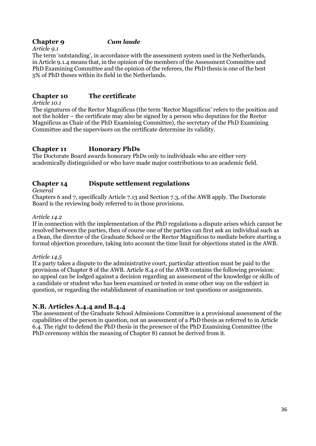#### **Chapter 9** *Cum laude*

*Article 9.1*

The term 'outstanding', in accordance with the assessment system used in the Netherlands, in Article 9.1.4 means that, in the opinion of the members of the Assessment Committee and PhD Examining Committee and the opinion of the referees, the PhD thesis is one of the best 5% of PhD theses within its field in the Netherlands.

#### **Chapter 10 The certificate**

*Article 10.1*

The signatures of the Rector Magnificus (the term 'Rector Magnificus' refers to the position and not the holder – the certificate may also be signed by a person who deputizes for the Rector Magnificus as Chair of the PhD Examining Committee), the secretary of the PhD Examining Committee and the supervisors on the certificate determine its validity.

#### <span id="page-34-0"></span>**Chapter 11 Honorary PhDs**

The Doctorate Board awards honorary PhDs only to individuals who are either very academically distinguished or who have made major contributions to an academic field.

#### <span id="page-34-1"></span>**Chapter 14 Dispute settlement regulations**

#### *General*

Chapters 6 and 7, specifically Article 7.13 and Section 7.3, of the AWB apply. The Doctorate Board is the reviewing body referred to in those provisions.

#### *Article 14.2*

If in connection with the implementation of the PhD regulations a dispute arises which cannot be resolved between the parties, then of course one of the parties can first ask an individual such as a Dean, the director of the Graduate School or the Rector Magnificus to mediate before starting a formal objection procedure, taking into account the time limit for objections stated in the AWB.

#### *Article 14.5*

If a party takes a dispute to the administrative court, particular attention must be paid to the provisions of Chapter 8 of the AWB. Article 8.4.e of the AWB contains the following provision: no appeal can be lodged against a decision regarding an assessment of the knowledge or skills of a candidate or student who has been examined or tested in some other way on the subject in question, or regarding the establishment of examination or test questions or assignments.

#### **N.B. Articles A.4.4 and B.4.4**

The assessment of the Graduate School Admissions Committee is a provisional assessment of the capabilities of the person in question, not an assessment of a PhD thesis as referred to in Article 6.4. The right to defend the PhD thesis in the presence of the PhD Examining Committee (the PhD ceremony within the meaning of Chapter 8) cannot be derived from it.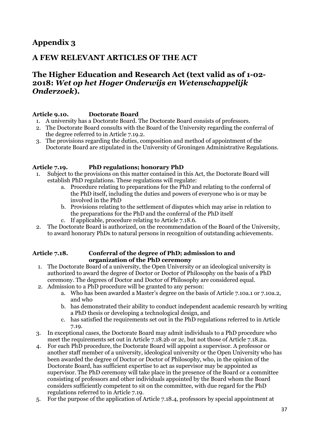## **Appendix 3**

## **A FEW RELEVANT ARTICLES OF THE ACT**

## **The Higher Education and Research Act (text valid as of 1-02- 2018:** *Wet op het Hoger Onderwijs en Wetenschappelijk Onderzoek***).**

#### **Article 9.10. Doctorate Board**

- 1. A university has a Doctorate Board. The Doctorate Board consists of professors.
- 2. The Doctorate Board consults with the Board of the University regarding the conferral of the degree referred to in Article 7.19.2.
- 3. The provisions regarding the duties, composition and method of appointment of the Doctorate Board are stipulated in the University of Groningen Administrative Regulations.

#### **Article 7.19. PhD regulations; honorary PhD**

- 1. Subject to the provisions on this matter contained in this Act, the Doctorate Board will establish PhD regulations. These regulations will regulate:
	- a. Procedure relating to preparations for the PhD and relating to the conferral of the PhD itself, including the duties and powers of everyone who is or may be involved in the PhD
	- b. Provisions relating to the settlement of disputes which may arise in relation to the preparations for the PhD and the conferral of the PhD itself
	- c. If applicable, procedure relating to Article 7.18.6.
- 2. The Doctorate Board is authorized, on the recommendation of the Board of the University, to award honorary PhDs to natural persons in recognition of outstanding achievements.

#### **Article 7.18. Conferral of the degree of PhD; admission to and organization of the PhD ceremony**

- 1. The Doctorate Board of a university, the Open University or an ideological university is authorized to award the degree of Doctor or Doctor of Philosophy on the basis of a PhD ceremony. The degrees of Doctor and Doctor of Philosophy are considered equal.
- 2. Admission to a PhD procedure will be granted to any person:
	- a. Who has been awarded a Master's degree on the basis of Article 7.10a.1 or 7.10a.2, and who
	- b. has demonstrated their ability to conduct independent academic research by writing a PhD thesis or developing a technological design, and
	- c. has satisfied the requirements set out in the PhD regulations referred to in Article 7.19.
- 3. In exceptional cases, the Doctorate Board may admit individuals to a PhD procedure who meet the requirements set out in Article 7.18.2b or 2c, but not those of Article 7.18.2a.
- 4. For each PhD procedure, the Doctorate Board will appoint a supervisor. A professor or another staff member of a university, ideological university or the Open University who has been awarded the degree of Doctor or Doctor of Philosophy, who, in the opinion of the Doctorate Board, has sufficient expertise to act as supervisor may be appointed as supervisor. The PhD ceremony will take place in the presence of the Board or a committee consisting of professors and other individuals appointed by the Board whom the Board considers sufficiently competent to sit on the committee, with due regard for the PhD regulations referred to in Article 7.19.
- 5. For the purpose of the application of Article 7.18.4, professors by special appointment at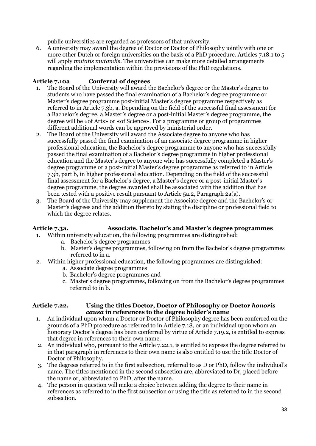public universities are regarded as professors of that university.

6. A university may award the degree of Doctor or Doctor of Philosophy jointly with one or more other Dutch or foreign universities on the basis of a PhD procedure. Articles 7.18.1 to 5 will apply *mutatis mutandis*. The universities can make more detailed arrangements regarding the implementation within the provisions of the PhD regulations.

#### **Article 7.10a Conferral of degrees**

- 1. The Board of the University will award the Bachelor's degree or the Master's degree to students who have passed the final examination of a Bachelor's degree programme or Master's degree programme post-initial Master's degree programme respectively as referred to in Article 7.3b, a. Depending on the field of the successful final assessment for a Bachelor's degree, a Master's degree or a post-initial Master's degree programme, the degree will be «of Arts» or «of Science». For a programme or group of programmes different additional words can be approved by ministerial order.
- 2. The Board of the University will award the Associate degree to anyone who has successfully passed the final examination of an associate degree programme in higher professional education, the Bachelor's degree programme to anyone who has successfully passed the final examination of a Bachelor's degree programme in higher professional education and the Master's degree to anyone who has successfully completed a Master's degree programme or a post-initial Master's degree programme as referred to in Article 7.3b, part b, in higher professional education. Depending on the field of the successful final assessment for a Bachelor's degree, a Master's degree or a post-initial Master's degree programme, the degree awarded shall be associated with the addition that has been tested with a positive result pursuant to Article 5a.2, Paragraph 2a(a).
- 3. The Board of the University may supplement the Associate degree and the Bachelor's or Master's degrees and the addition thereto by stating the discipline or professional field to which the degree relates.

#### **Article 7.3a. Associate, Bachelor's and Master's degree programmes**

- 1. Within university education, the following programmes are distinguished:
	- a. Bachelor's degree programmes
	- b. Master's degree programmes, following on from the Bachelor's degree programmes referred to in a.
- 2. Within higher professional education, the following programmes are distinguished:
	- a. Associate degree programmes
	- b. Bachelor's degree programmes and
	- c. Master's degree programmes, following on from the Bachelor's degree programmes referred to in b.

#### **Article 7.22. Using the titles Doctor, Doctor of Philosophy or Doctor** *honoris causa* **in references to the degree holder's name**

- 1. An individual upon whom a Doctor or Doctor of Philosophy degree has been conferred on the grounds of a PhD procedure as referred to in Article 7.18, or an individual upon whom an honorary Doctor's degree has been conferred by virtue of Article 7.19.2, is entitled to express that degree in references to their own name.
- 2. An individual who, pursuant to the Article 7.22.1, is entitled to express the degree referred to in that paragraph in references to their own name is also entitled to use the title Doctor of Doctor of Philosophy.
- 3. The degrees referred to in the first subsection, referred to as D or PhD, follow the individual's name. The titles mentioned in the second subsection are, abbreviated to Dr, placed before the name or, abbreviated to PhD, after the name.
- 4. The person in question will make a choice between adding the degree to their name in references as referred to in the first subsection or using the title as referred to in the second subsection.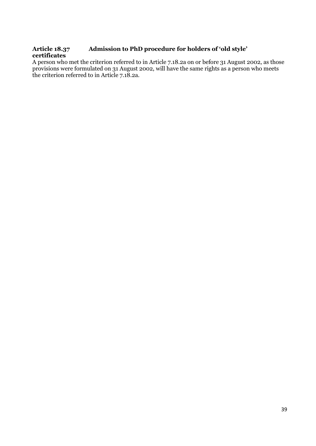#### Admission to PhD procedure for holders of 'old style' **certificates**

A person who met the criterion referred to in Article 7.18.2a on or before 31 August 2002, as those provisions were formulated on 31 August 2002, will have the same rights as a person who meets the criterion referred to in Article 7.18.2a.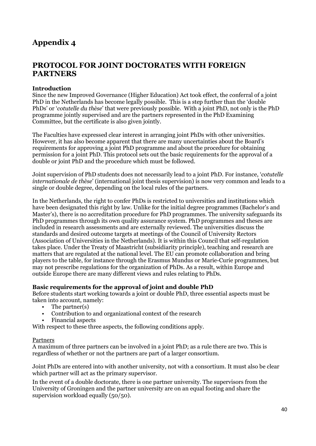## **Appendix 4**

## **PROTOCOL FOR JOINT DOCTORATES WITH FOREIGN PARTNERS**

#### **Introduction**

Since the new Improved Governance (Higher Education) Act took effect, the conferral of a joint PhD in the Netherlands has become legally possible. This is a step further than the 'double PhDs' or '*cotutelle du thèse*' that were previously possible. With a joint PhD, not only is the PhD programme jointly supervised and are the partners represented in the PhD Examining Committee, but the certificate is also given jointly.

The Faculties have expressed clear interest in arranging joint PhDs with other universities. However, it has also become apparent that there are many uncertainties about the Board's requirements for approving a joint PhD programme and about the procedure for obtaining permission for a joint PhD. This protocol sets out the basic requirements for the approval of a double or joint PhD and the procedure which must be followed.

Joint supervision of PhD students does not necessarily lead to a joint PhD. For instance, '*cotutelle internationale de thèse*' (international joint thesis supervision) is now very common and leads to a single or double degree, depending on the local rules of the partners.

In the Netherlands, the right to confer PhDs is restricted to universities and institutions which have been designated this right by law. Unlike for the initial degree programmes (Bachelor's and Master's), there is no accreditation procedure for PhD programmes. The university safeguards its PhD programmes through its own quality assurance system. PhD programmes and theses are included in research assessments and are externally reviewed. The universities discuss the standards and desired outcome targets at meetings of the Council of University Rectors (Association of Universities in the Netherlands). It is within this Council that self-regulation takes place. Under the Treaty of Maastricht (subsidiarity principle), teaching and research are matters that are regulated at the national level. The EU can promote collaboration and bring players to the table, for instance through the Erasmus Mundus or Marie-Curie programmes, but may not prescribe regulations for the organization of PhDs. As a result, within Europe and outside Europe there are many different views and rules relating to PhDs.

#### **Basic requirements for the approval of joint and double PhD**

Before students start working towards a joint or double PhD, three essential aspects must be taken into account, namely:

- The partner(s)
- Contribution to and organizational context of the research
- Financial aspects

With respect to these three aspects, the following conditions apply.

#### Partners

A maximum of three partners can be involved in a joint PhD; as a rule there are two. This is regardless of whether or not the partners are part of a larger consortium.

Joint PhDs are entered into with another university, not with a consortium. It must also be clear which partner will act as the primary supervisor.

In the event of a double doctorate, there is one partner university. The supervisors from the University of Groningen and the partner university are on an equal footing and share the supervision workload equally (50/50).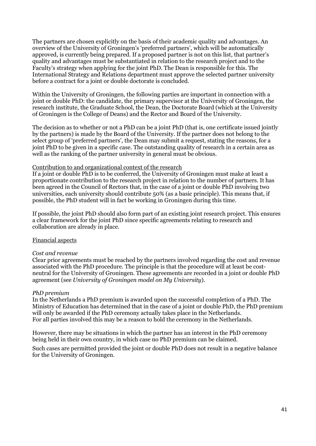The partners are chosen explicitly on the basis of their academic quality and advantages. An overview of the University of Groningen's 'preferred partners', which will be automatically approved, is currently being prepared. If a proposed partner is not on this list, that partner's quality and advantages must be substantiated in relation to the research project and to the Faculty's strategy when applying for the joint PhD. The Dean is responsible for this. The International Strategy and Relations department must approve the selected partner university before a contract for a joint or double doctorate is concluded.

Within the University of Groningen, the following parties are important in connection with a joint or double PhD: the candidate, the primary supervisor at the University of Groningen, the research institute, the Graduate School, the Dean, the Doctorate Board (which at the University of Groningen is the College of Deans) and the Rector and Board of the University.

The decision as to whether or not a PhD can be a joint PhD (that is, one certificate issued jointly by the partners) is made by the Board of the University. If the partner does not belong to the select group of 'preferred partners', the Dean may submit a request, stating the reasons, for a joint PhD to be given in a specific case. The outstanding quality of research in a certain area as well as the ranking of the partner university in general must be obvious.

#### Contribution to and organizational context of the research

If a joint or double PhD is to be conferred, the University of Groningen must make at least a proportionate contribution to the research project in relation to the number of partners. It has been agreed in the Council of Rectors that, in the case of a joint or double PhD involving two universities, each university should contribute 50% (as a basic principle). This means that, if possible, the PhD student will in fact be working in Groningen during this time.

If possible, the joint PhD should also form part of an existing joint research project. This ensures a clear framework for the joint PhD since specific agreements relating to research and collaboration are already in place.

#### Financial aspects

#### *Cost and revenue*

Clear prior agreements must be reached by the partners involved regarding the cost and revenue associated with the PhD procedure. The principle is that the procedure will at least be costneutral for the University of Groningen. These agreements are recorded in a joint or double PhD agreement (see *University of Groningen model on My University*).

#### *PhD premium*

In the Netherlands a PhD premium is awarded upon the successful completion of a PhD. The Ministry of Education has determined that in the case of a joint or double PhD, the PhD premium will only be awarded if the PhD ceremony actually takes place in the Netherlands. For all parties involved this may be a reason to hold the ceremony in the Netherlands.

However, there may be situations in which the partner has an interest in the PhD ceremony being held in their own country, in which case no PhD premium can be claimed.

Such cases are permitted provided the joint or double PhD does not result in a negative balance for the University of Groningen.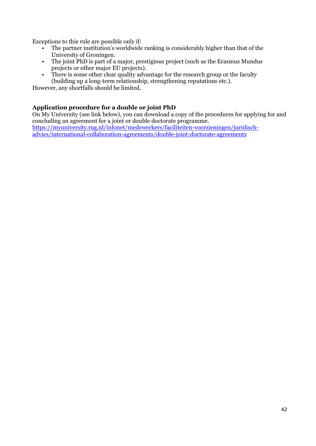Exceptions to this rule are possible only if:

- The partner institution's worldwide ranking is considerably higher than that of the University of Groningen.
- The joint PhD is part of a major, prestigious project (such as the Erasmus Mundus projects or other major EU projects).
- There is some other clear quality advantage for the research group or the faculty (building up a long-term relationship, strengthening reputations etc.).

However, any shortfalls should be limited.

#### **Application procedure for a double or joint PhD**

On My University (see link below), you can download a copy of the procedures for applying for and concluding an agreement for a joint or double doctorate programme. [https://myuniversity.rug.nl/infonet/medewerkers/faciliteiten-voorzieningen/juridisch](https://myuniversity.rug.nl/infonet/medewerkers/faciliteiten-voorzieningen/juridisch-advies/international-collaboration-agreements/double-joint-doctorate-agreements)[advies/international-collaboration-agreements/double-joint-doctorate-agreements](https://myuniversity.rug.nl/infonet/medewerkers/faciliteiten-voorzieningen/juridisch-advies/international-collaboration-agreements/double-joint-doctorate-agreements)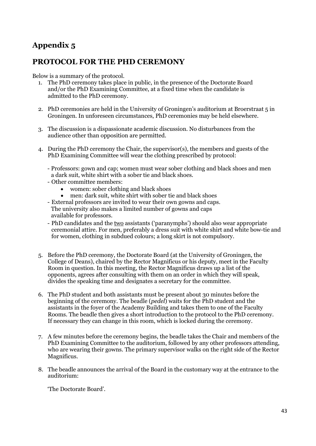## **Appendix 5**

## **PROTOCOL FOR THE PHD CEREMONY**

Below is a summary of the protocol.

- 1. The PhD ceremony takes place in public, in the presence of the Doctorate Board and/or the PhD Examining Committee, at a fixed time when the candidate is admitted to the PhD ceremony.
- 2. PhD ceremonies are held in the University of Groningen's auditorium at Broerstraat 5 in Groningen. In unforeseen circumstances, PhD ceremonies may be held elsewhere.
- 3. The discussion is a dispassionate academic discussion. No disturbances from the audience other than opposition are permitted.
- 4. During the PhD ceremony the Chair, the supervisor(s), the members and guests of the PhD Examining Committee will wear the clothing prescribed by protocol:
	- Professors: gown and cap; women must wear sober clothing and black shoes and men a dark suit, white shirt with a sober tie and black shoes.
	- Other committee members:
		- women: sober clothing and black shoes
		- men: dark suit, white shirt with sober tie and black shoes
	- External professors are invited to wear their own gowns and caps. The university also makes a limited number of gowns and caps available for professors.
	- PhD candidates and the two assistants ('paranymphs') should also wear appropriate ceremonial attire. For men, preferably a dress suit with white shirt and white bow-tie and for women, clothing in subdued colours; a long skirt is not compulsory.
- 5. Before the PhD ceremony, the Doctorate Board (at the University of Groningen, the College of Deans), chaired by the Rector Magnificus or his deputy, meet in the Faculty Room in question. In this meeting, the Rector Magnificus draws up a list of the opponents, agrees after consulting with them on an order in which they will speak, divides the speaking time and designates a secretary for the committee.
- 6. The PhD student and both assistants must be present about 30 minutes before the beginning of the ceremony. The beadle (*pedel*) waits for the PhD student and the assistants in the foyer of the Academy Building and takes them to one of the Faculty Rooms. The beadle then gives a short introduction to the protocol to the PhD ceremony. If necessary they can change in this room, which is locked during the ceremony.
- 7. A few minutes before the ceremony begins, the beadle takes the Chair and members of the PhD Examining Committee to the auditorium, followed by any other professors attending, who are wearing their gowns. The primary supervisor walks on the right side of the Rector Magnificus.
- 8. The beadle announces the arrival of the Board in the customary way at the entrance to the auditorium:

'The Doctorate Board'.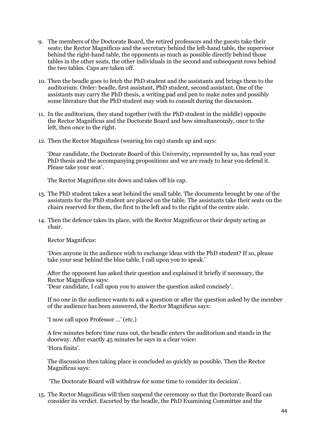- 9. The members of the Doctorate Board, the retired professors and the guests take their seats; the Rector Magnificus and the secretary behind the left-hand table, the supervisor behind the right-hand table, the opponents as much as possible directly behind those tables in the other seats, the other individuals in the second and subsequent rows behind the two tables. Caps are taken off.
- 10. Then the beadle goes to fetch the PhD student and the assistants and brings them to the auditorium. Order: beadle, first assistant, PhD student, second assistant. One of the assistants may carry the PhD thesis, a writing pad and pen to make notes and possibly some literature that the PhD student may wish to consult during the discussion.
- 11. In the auditorium, they stand together (with the PhD student in the middle) opposite the Rector Magnificus and the Doctorate Board and bow simultaneously, once to the left, then once to the right.
- 12. Then the Rector Magnificus (wearing his cap) stands up and says:

'Dear candidate, the Doctorate Board of this University, represented by us, has read your PhD thesis and the accompanying propositions and we are ready to hear you defend it. Please take your seat'.

The Rector Magnificus sits down and takes off his cap.

- 13. The PhD student takes a seat behind the small table. The documents brought by one of the assistants for the PhD student are placed on the table. The assistants take their seats on the chairs reserved for them, the first to the left and to the right of the centre aisle.
- 14. Then the defence takes its place, with the Rector Magnificus or their deputy acting as chair.

Rector Magnificus:

'Does anyone in the audience wish to exchange ideas with the PhD student? If so, please take your seat behind the blue table. I call upon you to speak.'

After the opponent has asked their question and explained it briefly if necessary, the Rector Magnificus says: 'Dear candidate, I call upon you to answer the question asked concisely'.

If no one in the audience wants to ask a question or after the question asked by the member of the audience has been answered, the Rector Magnificus says:

'I now call upon Professor ...' (etc.)

A few minutes before time runs out, the beadle enters the auditorium and stands in the doorway. After exactly 45 minutes he says in a clear voice:

'Hora finita'.

The discussion then taking place is concluded as quickly as possible. Then the Rector Magnificus says:

'The Doctorate Board will withdraw for some time to consider its decision'.

15. The Rector Magnificus will then suspend the ceremony so that the Doctorate Board can consider its verdict. Escorted by the beadle, the PhD Examining Committee and the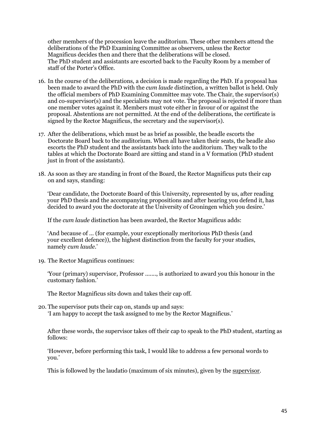other members of the procession leave the auditorium. These other members attend the deliberations of the PhD Examining Committee as observers, unless the Rector Magnificus decides then and there that the deliberations will be closed. The PhD student and assistants are escorted back to the Faculty Room by a member of staff of the Porter's Office.

- 16. In the course of the deliberations, a decision is made regarding the PhD. If a proposal has been made to award the PhD with the *cum laude* distinction, a written ballot is held. Only the official members of PhD Examining Committee may vote. The Chair, the supervisor(s) and co-supervisor(s) and the specialists may not vote. The proposal is rejected if more than one member votes against it. Members must vote either in favour of or against the proposal. Abstentions are not permitted. At the end of the deliberations, the certificate is signed by the Rector Magnificus, the secretary and the supervisor(s).
- 17. After the deliberations, which must be as brief as possible, the beadle escorts the Doctorate Board back to the auditorium. When all have taken their seats, the beadle also escorts the PhD student and the assistants back into the auditorium. They walk to the tables at which the Doctorate Board are sitting and stand in a V formation (PhD student just in front of the assistants).
- 18. As soon as they are standing in front of the Board, the Rector Magnificus puts their cap on and says, standing:

'Dear candidate, the Doctorate Board of this University, represented by us, after reading your PhD thesis and the accompanying propositions and after hearing you defend it, has decided to award you the doctorate at the University of Groningen which you desire.'

If the *cum laude* distinction has been awarded, the Rector Magnificus adds:

'And because of ... (for example, your exceptionally meritorious PhD thesis (and your excellent defence)), the highest distinction from the faculty for your studies, namely *cum laude*.'

19. The Rector Magnificus continues:

'Your (primary) supervisor, Professor ......., is authorized to award you this honour in the customary fashion.'

The Rector Magnificus sits down and takes their cap off.

20. The supervisor puts their cap on, stands up and says: 'I am happy to accept the task assigned to me by the Rector Magnificus.'

After these words, the supervisor takes off their cap to speak to the PhD student, starting as follows:

'However, before performing this task, I would like to address a few personal words to you.'

This is followed by the laudatio (maximum of six minutes), given by the supervisor.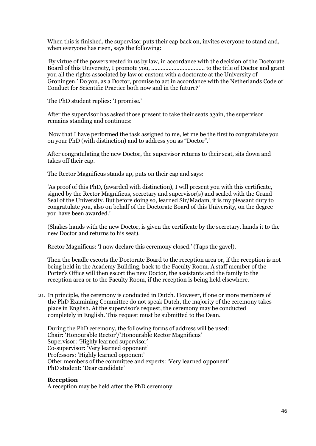When this is finished, the supervisor puts their cap back on, invites everyone to stand and, when everyone has risen, says the following:

'By virtue of the powers vested in us by law, in accordance with the decision of the Doctorate Board of this University, I promote you, .................................. to the title of Doctor and grant you all the rights associated by law or custom with a doctorate at the University of Groningen.' Do you, as a Doctor, promise to act in accordance with the Netherlands Code of Conduct for Scientific Practice both now and in the future?'

The PhD student replies: 'I promise.'

After the supervisor has asked those present to take their seats again, the supervisor remains standing and continues:

'Now that I have performed the task assigned to me, let me be the first to congratulate you on your PhD (with distinction) and to address you as "Doctor".'

After congratulating the new Doctor, the supervisor returns to their seat, sits down and takes off their cap.

The Rector Magnificus stands up, puts on their cap and says:

'As proof of this PhD, (awarded with distinction), I will present you with this certificate, signed by the Rector Magnificus, secretary and supervisor(s) and sealed with the Grand Seal of the University. But before doing so, learned Sir/Madam, it is my pleasant duty to congratulate you, also on behalf of the Doctorate Board of this University, on the degree you have been awarded.'

(Shakes hands with the new Doctor, is given the certificate by the secretary, hands it to the new Doctor and returns to his seat).

Rector Magnificus: 'I now declare this ceremony closed.' (Taps the gavel).

Then the beadle escorts the Doctorate Board to the reception area or, if the reception is not being held in the Academy Building, back to the Faculty Room. A staff member of the Porter's Office will then escort the new Doctor, the assistants and the family to the reception area or to the Faculty Room, if the reception is being held elsewhere.

21. In principle, the ceremony is conducted in Dutch. However, if one or more members of the PhD Examining Committee do not speak Dutch, the majority of the ceremony takes place in English. At the supervisor's request, the ceremony may be conducted completely in English. This request must be submitted to the Dean.

During the PhD ceremony, the following forms of address will be used: Chair: 'Honourable Rector'/'Honourable Rector Magnificus' Supervisor: 'Highly learned supervisor' Co-supervisor: 'Very learned opponent' Professors: 'Highly learned opponent' Other members of the committee and experts: 'Very learned opponent' PhD student: 'Dear candidate'

#### **Reception**

A reception may be held after the PhD ceremony.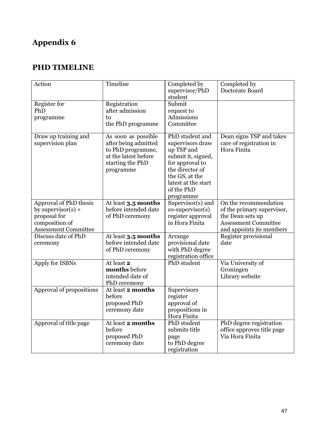## **Appendix 6**

## **PHD TIMELINE**

| Action                      | Timeline                                  | Completed by        | Completed by                                        |
|-----------------------------|-------------------------------------------|---------------------|-----------------------------------------------------|
|                             |                                           | supervisor/PhD      | Doctorate Board                                     |
|                             |                                           | student             |                                                     |
| Register for                | Registration                              | Submit              |                                                     |
| PhD                         | after admission                           | request to          |                                                     |
| programme                   | to                                        | Admissions          |                                                     |
|                             | the PhD programme                         | Committee           |                                                     |
|                             |                                           | PhD student and     |                                                     |
| Draw up training and        | As soon as possible                       | supervisors draw    | Dean signs TSP and takes<br>care of registration in |
| supervision plan            | after being admitted<br>to PhD programme, | up TSP and          | Hora Finita                                         |
|                             | at the latest before                      | submit it, signed,  |                                                     |
|                             | starting the PhD                          | for approval to     |                                                     |
|                             | programme                                 | the director of     |                                                     |
|                             |                                           | the GS, at the      |                                                     |
|                             |                                           | latest at the start |                                                     |
|                             |                                           | of the PhD          |                                                     |
|                             |                                           | programme           |                                                     |
| Approval of PhD thesis      | At least 3.5 months                       | Supervisor(s) and   | On the recommendation                               |
| by supervisor(s) $+$        | before intended date                      | $co-supervisor(s)$  | of the primary supervisor,                          |
| proposal for                | of PhD ceremony                           | register approval   | the Dean sets up                                    |
| composition of              |                                           | in Hora Finita      | <b>Assessment Committee</b>                         |
| <b>Assessment Committee</b> |                                           |                     | and appoints its members                            |
| Discuss date of PhD         | At least 3.5 months                       | Arrange             | Register provisional                                |
| ceremony                    | before intended date                      | provisional date    | date                                                |
|                             | of PhD ceremony                           | with PhD degree     |                                                     |
|                             |                                           | registration office |                                                     |
| Apply for ISBNs             | At least 2                                | PhD student         | Via University of                                   |
|                             | months before                             |                     | Groningen                                           |
|                             | intended date of                          |                     | Library website                                     |
| Approval of propositions    | PhD ceremony<br>At least 2 months         | Supervisors         |                                                     |
|                             | before                                    | register            |                                                     |
|                             | proposed PhD                              | approval of         |                                                     |
|                             | ceremony date                             | propositions in     |                                                     |
|                             |                                           | Hora Finita         |                                                     |
| Approval of title page      | At least 2 months                         | PhD student         | PhD degree registration                             |
|                             | before                                    | submits title       | office approves title page                          |
|                             | proposed PhD                              | page                | Via Hora Finita                                     |
|                             | ceremony date                             | to PhD degree       |                                                     |
|                             |                                           | registration        |                                                     |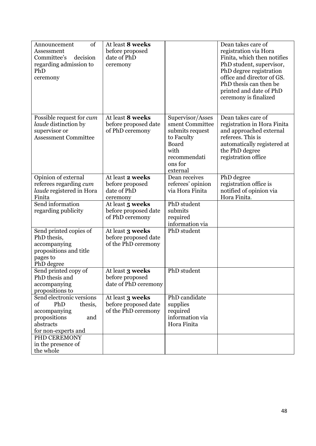| of<br>Announcement<br>Assessment<br>Committee's<br>decision<br>regarding admission to<br>PhD<br>ceremony                    | At least 8 weeks<br>before proposed<br>date of PhD<br>ceremony  |                                                                                                                              | Dean takes care of<br>registration via Hora<br>Finita, which then notifies<br>PhD student, supervisor,<br>PhD degree registration<br>office and director of GS.<br>PhD thesis can then be<br>printed and date of PhD<br>ceremony is finalized |
|-----------------------------------------------------------------------------------------------------------------------------|-----------------------------------------------------------------|------------------------------------------------------------------------------------------------------------------------------|-----------------------------------------------------------------------------------------------------------------------------------------------------------------------------------------------------------------------------------------------|
| Possible request for <i>cum</i><br><i>laude</i> distinction by<br>supervisor or<br><b>Assessment Committee</b>              | At least 8 weeks<br>before proposed date<br>of PhD ceremony     | Supervisor/Asses<br>sment Committee<br>submits request<br>to Faculty<br>Board<br>with<br>recommendati<br>ons for<br>external | Dean takes care of<br>registration in Hora Finita<br>and approached external<br>referees. This is<br>automatically registered at<br>the PhD degree<br>registration office                                                                     |
| Opinion of external<br>referees regarding cum<br><i>laude</i> registered in Hora<br>Finita                                  | At least 2 weeks<br>before proposed<br>date of PhD<br>ceremony  | Dean receives<br>referees' opinion<br>via Hora Finita                                                                        | PhD degree<br>registration office is<br>notified of opinion via<br>Hora Finita.                                                                                                                                                               |
| Send information<br>regarding publicity                                                                                     | At least 5 weeks<br>before proposed date<br>of PhD ceremony     | PhD student<br>submits<br>required<br>information via                                                                        |                                                                                                                                                                                                                                               |
| Send printed copies of<br>PhD thesis,<br>accompanying<br>propositions and title<br>pages to<br>PhD degree                   | At least 3 weeks<br>before proposed date<br>of the PhD ceremony | PhD student                                                                                                                  |                                                                                                                                                                                                                                               |
| Send printed copy of<br>PhD thesis and<br>accompanying<br>propositions to                                                   | At least 3 weeks<br>before proposed<br>date of PhD ceremony     | PhD student                                                                                                                  |                                                                                                                                                                                                                                               |
| Send electronic versions<br>of<br>PhD<br>thesis,<br>accompanying<br>propositions<br>and<br>abstracts<br>for non-experts and | At least 3 weeks<br>before proposed date<br>of the PhD ceremony | PhD candidate<br>supplies<br>required<br>information via<br>Hora Finita                                                      |                                                                                                                                                                                                                                               |
| PHD CEREMONY<br>in the presence of<br>the whole                                                                             |                                                                 |                                                                                                                              |                                                                                                                                                                                                                                               |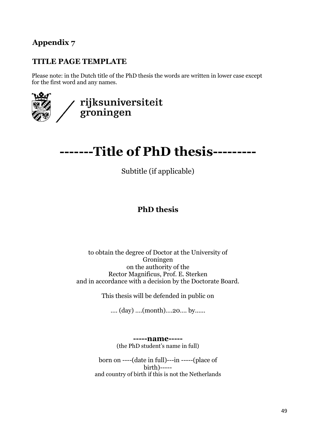## **Appendix 7**

## **TITLE PAGE TEMPLATE**

Please note: in the Dutch title of the PhD thesis the words are written in lower case except for the first word and any names.



## **-------Title of PhD thesis---------**

Subtitle (if applicable)

## **PhD thesis**

#### to obtain the degree of Doctor at the University of Groningen on the authority of the Rector Magnificus, Prof. E. Sterken and in accordance with a decision by the Doctorate Board.

This thesis will be defended in public on

…. (day) ….(month)….20…. by......

**-----name-----** (the PhD student's name in full)

born on ----(date in full)---in -----(place of birth)---- and country of birth if this is not the Netherlands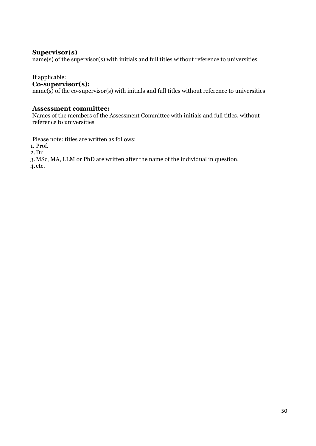#### **Supervisor(s)**

name(s) of the supervisor(s) with initials and full titles without reference to universities

#### If applicable:

#### **Co-supervisor(s):**

 $name(s)$  of the co-supervisor(s) with initials and full titles without reference to universities

#### **Assessment committee:**

Names of the members of the Assessment Committee with initials and full titles, without reference to universities

Please note: titles are written as follows:

1. Prof.

2.Dr

3.MSc, MA, LLM or PhD are written after the name of the individual in question. 4.etc.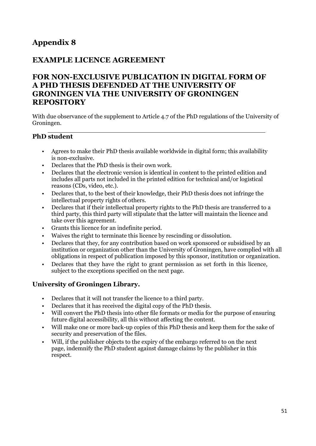## **Appendix 8**

## **EXAMPLE LICENCE AGREEMENT**

## **FOR NON-EXCLUSIVE PUBLICATION IN DIGITAL FORM OF A PHD THESIS DEFENDED AT THE UNIVERSITY OF GRONINGEN VIA THE UNIVERSITY OF GRONINGEN REPOSITORY**

With due observance of the supplement to Article 4.7 of the PhD regulations of the University of Groningen.

#### **PhD student**

- Agrees to make their PhD thesis available worldwide in digital form; this availability is non-exclusive.
- Declares that the PhD thesis is their own work.
- Declares that the electronic version is identical in content to the printed edition and includes all parts not included in the printed edition for technical and/or logistical reasons (CDs, video, etc.).
- Declares that, to the best of their knowledge, their PhD thesis does not infringe the intellectual property rights of others.
- Declares that if their intellectual property rights to the PhD thesis are transferred to a third party, this third party will stipulate that the latter will maintain the licence and take over this agreement.
- Grants this licence for an indefinite period.
- Waives the right to terminate this licence by rescinding or dissolution.
- Declares that they, for any contribution based on work sponsored or subsidised by an institution or organization other than the University of Groningen, have complied with all obligations in respect of publication imposed by this sponsor, institution or organization.
- Declares that they have the right to grant permission as set forth in this licence, subject to the exceptions specified on the next page.

#### **University of Groningen Library.**

- Declares that it will not transfer the licence to a third party.
- Declares that it has received the digital copy of the PhD thesis.
- Will convert the PhD thesis into other file formats or media for the purpose of ensuring future digital accessibility, all this without affecting the content.
- Will make one or more back-up copies of this PhD thesis and keep them for the sake of security and preservation of the files.
- Will, if the publisher objects to the expiry of the embargo referred to on the next page, indemnify the PhD student against damage claims by the publisher in this respect.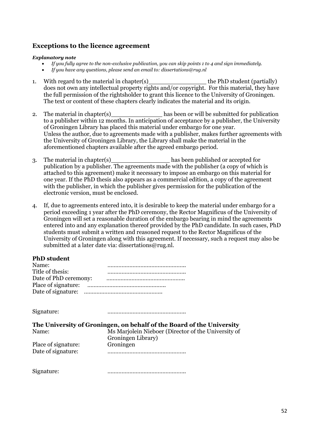#### **Exceptions to the licence agreement**

#### *Explanatory note*

- *If you fully agree to the non-exclusive publication, you can skip points 1 to 4 and sign immediately.*
- *If you have any questions, please send an email to: [dissertations@rug.nl](mailto:dissertations@rug.nl)*
- 1. With regard to the material in chapter(s) the PhD student (partially) does not own any intellectual property rights and/or copyright. For this material, they have the full permission of the rightsholder to grant this licence to the University of Groningen. The text or content of these chapters clearly indicates the material and its origin.
- 2. The material in chapter(s) has been or will be submitted for publication to a publisher within 12 months. In anticipation of acceptance by a publisher, the University of Groningen Library has placed this material under embargo for one year. Unless the author, due to agreements made with a publisher, makes further agreements with the University of Groningen Library, the Library shall make the material in the aforementioned chapters available after the agreed embargo period.
- 3. The material in chapter(s) has been published or accepted for publication by a publisher. The agreements made with the publisher (a copy of which is attached to this agreement) make it necessary to impose an embargo on this material for one year. If the PhD thesis also appears as a commercial edition, a copy of the agreement with the publisher, in which the publisher gives permission for the publication of the electronic version, must be enclosed.
- 4. If, due to agreements entered into, it is desirable to keep the material under embargo for a period exceeding 1 year after the PhD ceremony, the Rector Magnificus of the University of Groningen will set a reasonable duration of the embargo bearing in mind the agreements entered into and any explanation thereof provided by the PhD candidate. In such cases, PhD students must submit a written and reasoned request to the Rector Magnificus of the University of Groningen along with this agreement. If necessary, such a request may also be submitted at a later date vi[a: dissertations@rug.nl.](mailto:dissertations@rug.nl)

#### **PhD student**

| Name:                 |  |
|-----------------------|--|
| Title of thesis:      |  |
| Date of PhD ceremony: |  |
|                       |  |
|                       |  |

Signature: …………………………………………..

**The University of Groningen, on behalf of the Board of the University** Ms Mariolein Nieboer (Director of the University of

| <i>ivallie.</i>     | <u>MS Mai Joieni Iviedoel (Diffector of the University of</u> |
|---------------------|---------------------------------------------------------------|
|                     | Groningen Library)                                            |
| Place of signature: | Groningen                                                     |
| Date of signature:  |                                                               |

Signature: …………………………………………..